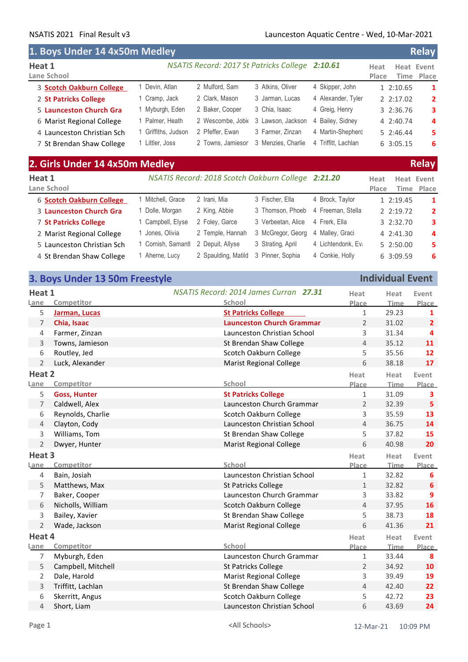r

## NSATIS 2021 Final Result v3 Launceston Aquatic Centre - Wed, 10-Mar-2021

| 1. Boys Under 14 4x50m Medley |                   |                                                 |                    |                     |               |            | <b>Relay</b>   |
|-------------------------------|-------------------|-------------------------------------------------|--------------------|---------------------|---------------|------------|----------------|
| Heat 1<br>Lane School         |                   | NSATIS Record: 2017 St Patricks College 2:10.61 |                    |                     | Heat<br>Place | Heat Event | Time Place     |
| 3 Scotch Oakburn College      | Devin, Atlan      | 2 Mulford, Sam                                  | 3 Atkins, Oliver   | 4 Skipper, John     |               | 1 2:10.65  | $\mathbf{1}$   |
| 2 St Patricks College         | Cramp, Jack       | 2 Clark, Mason                                  | 3 Jarman, Lucas    | 4 Alexander, Tyler  |               | 2 2:17.02  | $\overline{2}$ |
| 5 Launceston Church Gra       | Myburgh, Eden     | 2 Baker, Cooper                                 | 3 Chia, Isaac      | 4 Greig, Henry      |               | 3 2:36.76  | 3              |
| 6 Marist Regional College     | l Palmer, Heath   | 2 Wescombe, Jobio                               | 3 Lawson, Jackson  | 4 Bailey, Sidney    |               | 4 2:40.74  | 4              |
| 4 Launceston Christian Sch    | Griffiths, Judson | 2 Pfeffer, Ewan                                 | 3 Farmer, Zinzan   | 4 Martin-Shepherc   |               | 52:46.44   | 5              |
| 7 St Brendan Shaw College     | Littler, Joss     | 2 Towns, Jamiesor                               | 3 Menzies, Charlie | 4 Triffitt, Lachlan |               | 6 3:05.15  | 6              |

# **2. Girls Under 14 4x50m Medley Relay**

| Heat 1<br>Lane School      |                    |                     | NSATIS Record: 2018 Scotch Oakburn College 2:21.20 |                    | Heat<br>Place | Heat Event<br>Time Place |
|----------------------------|--------------------|---------------------|----------------------------------------------------|--------------------|---------------|--------------------------|
| 6 Scotch Oakburn College   | Mitchell, Grace    | 2 Irani, Mia        | 3 Fischer, Ella                                    | 4 Brock, Taylor    | 12:19.45      | $\mathbf{1}$             |
| 3 Launceston Church Gra    | Dolle, Morgan      | 2 King, Abbie       | 3 Thomson, Phoeb                                   | 4 Freeman, Stella  | 2 2:19.72     | $\overline{2}$           |
| 7 St Patricks College      | Campbell, Elyse    | 2 Foley, Garce      | 3 Verbeetan, Alice                                 | 4 Frerk, Ella      | 3 2:32.70     | 3                        |
| 2 Marist Regional College  | Jones, Olivia      | 2 Temple, Hannah    | 3 McGregor, Georg                                  | 4 Malley, Graci    | 4 2:41.30     | $\overline{a}$           |
| 5 Launceston Christian Sch | 1 Cornish, Samantl | 2 Depuit, Allyse    | 3 Strating, April                                  | 4 Lichtendonk, Ev. | 5 2:50.00     | 5.                       |
| 4 St Brendan Shaw College  | Aherne, Lucy       | 2 Spaulding, Matild | 3 Pinner, Sophia                                   | 4 Conkie, Holly    | 6 3:09.59     | 6                        |

|                | 3. Boys Under 13 50m Freestyle |                                        |                | <b>Individual Event</b> |                         |
|----------------|--------------------------------|----------------------------------------|----------------|-------------------------|-------------------------|
| Heat 1         |                                | NSATIS Record: 2014 James Curran 27.31 | Heat           | Heat                    | Event                   |
| Lane           | Competitor                     | School                                 | Place          | Time                    | Place                   |
| 5              | Jarman, Lucas                  | <b>St Patricks College</b>             | 1              | 29.23                   | $\mathbf{1}$            |
| 7              | Chia, Isaac                    | <b>Launceston Church Grammar</b>       | 2              | 31.02                   | $\overline{2}$          |
| 4              | Farmer, Zinzan                 | Launceston Christian School            | 3              | 31.34                   | $\overline{\mathbf{4}}$ |
| 3              | Towns, Jamieson                | St Brendan Shaw College                | $\overline{4}$ | 35.12                   | 11                      |
| 6              | Routley, Jed                   | Scotch Oakburn College                 | 5              | 35.56                   | 12                      |
| $\overline{2}$ | Luck, Alexander                | <b>Marist Regional College</b>         | 6              | 38.18                   | 17                      |
| Heat 2         |                                |                                        | Heat           | Heat                    | Event                   |
| Lane           | Competitor                     | School                                 | Place          | <b>Time</b>             | Place                   |
| 5              | <b>Goss, Hunter</b>            | <b>St Patricks College</b>             | $\mathbf 1$    | 31.09                   | $\overline{\mathbf{3}}$ |
| 7              | Caldwell, Alex                 | Launceston Church Grammar              | $\overline{2}$ | 32.39                   | 5                       |
| 6              | Reynolds, Charlie              | Scotch Oakburn College                 | 3              | 35.59                   | 13                      |
| 4              | Clayton, Cody                  | Launceston Christian School            | $\overline{4}$ | 36.75                   | 14                      |
| 3              | Williams, Tom                  | St Brendan Shaw College                | 5              | 37.82                   | 15                      |
| $\overline{2}$ | Dwyer, Hunter                  | <b>Marist Regional College</b>         | 6              | 40.98                   | 20                      |
| Heat 3         |                                |                                        | Heat           | Heat                    | Event                   |
| Lane           | Competitor                     | School                                 | <b>Place</b>   | <b>Time</b>             | <b>Place</b>            |
| 4              | Bain, Josiah                   | Launceston Christian School            | $\mathbf 1$    | 32.82                   | 6                       |
| 5              | Matthews, Max                  | <b>St Patricks College</b>             | $\mathbf{1}$   | 32.82                   | 6                       |
| 7              | Baker, Cooper                  | Launceston Church Grammar              | 3              | 33.82                   | 9                       |
| 6              | Nicholls, William              | Scotch Oakburn College                 | $\overline{4}$ | 37.95                   | 16                      |
| 3              | Bailey, Xavier                 | St Brendan Shaw College                | 5              | 38.73                   | 18                      |
| $\overline{2}$ | Wade, Jackson                  | <b>Marist Regional College</b>         | 6              | 41.36                   | 21                      |
| Heat 4         |                                |                                        | Heat           | Heat                    | Event                   |
| Lane           | Competitor                     | School                                 | Place          | Time                    | Place                   |
| 7              | Myburgh, Eden                  | Launceston Church Grammar              | 1              | 33.44                   | 8                       |
| 5              | Campbell, Mitchell             | <b>St Patricks College</b>             | 2              | 34.92                   | 10                      |
| 2              | Dale, Harold                   | <b>Marist Regional College</b>         | 3              | 39.49                   | 19                      |
| 3              | Triffitt, Lachlan              | St Brendan Shaw College                | $\overline{4}$ | 42.40                   | 22                      |
| 6              | Skerritt, Angus                | Scotch Oakburn College                 | 5              | 42.72                   | 23                      |
| 4              | Short, Liam                    | Launceston Christian School            | 6              | 43.69                   | 24                      |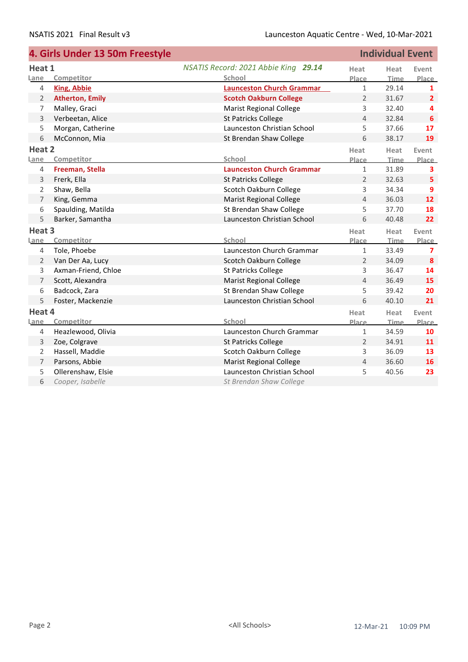|                | 4. Girls Under 13 50m Freestyle |                                      |                | <b>Individual Event</b> |                         |
|----------------|---------------------------------|--------------------------------------|----------------|-------------------------|-------------------------|
| Heat 1         |                                 | NSATIS Record: 2021 Abbie King 29.14 | Heat           | Heat                    | Event                   |
| Lane           | Competitor                      | School                               | Place          | Time                    | Place                   |
| $\overline{4}$ | <b>King, Abbie</b>              | <b>Launceston Church Grammar</b>     | $\mathbf{1}$   | 29.14                   | 1                       |
| 2              | <b>Atherton, Emily</b>          | <b>Scotch Oakburn College</b>        | $\overline{2}$ | 31.67                   | $\overline{2}$          |
| 7              | Malley, Graci                   | <b>Marist Regional College</b>       | 3              | 32.40                   | 4                       |
| 3              | Verbeetan, Alice                | <b>St Patricks College</b>           | 4              | 32.84                   | 6                       |
| 5              | Morgan, Catherine               | Launceston Christian School          | 5              | 37.66                   | 17                      |
| 6              | McConnon, Mia                   | St Brendan Shaw College              | 6              | 38.17                   | 19                      |
| Heat 2         |                                 |                                      | Heat           | Heat                    | Event                   |
| Lane           | Competitor                      | School                               | Place          | Time                    | Place                   |
| $\overline{4}$ | Freeman, Stella                 | <b>Launceston Church Grammar</b>     | $\mathbf{1}$   | 31.89                   | $\overline{\mathbf{3}}$ |
| 3              | Frerk, Ella                     | <b>St Patricks College</b>           | $\overline{2}$ | 32.63                   | 5                       |
| 2              | Shaw, Bella                     | Scotch Oakburn College               | 3              | 34.34                   | 9                       |
| $\overline{7}$ | King, Gemma                     | <b>Marist Regional College</b>       | 4              | 36.03                   | 12                      |
| 6              | Spaulding, Matilda              | St Brendan Shaw College              | 5              | 37.70                   | 18                      |
| 5              | Barker, Samantha                | Launceston Christian School          | 6              | 40.48                   | 22                      |
| Heat 3         |                                 |                                      | Heat           | Heat                    | Event                   |
| Lane           | Competitor                      | School                               | Place          | <b>Time</b>             | Place                   |
| $\overline{4}$ | Tole, Phoebe                    | Launceston Church Grammar            | $\mathbf{1}$   | 33.49                   | $\overline{ }$          |
| 2              | Van Der Aa, Lucy                | Scotch Oakburn College               | $\overline{2}$ | 34.09                   | 8                       |
| 3              | Axman-Friend, Chloe             | <b>St Patricks College</b>           | 3              | 36.47                   | 14                      |
| $\overline{7}$ | Scott, Alexandra                | <b>Marist Regional College</b>       | 4              | 36.49                   | 15                      |
| 6              | Badcock, Zara                   | St Brendan Shaw College              | 5              | 39.42                   | 20                      |
| 5              | Foster, Mackenzie               | Launceston Christian School          | 6              | 40.10                   | 21                      |
| Heat 4         |                                 |                                      | Heat           | Heat                    | Event                   |
| Lane           | Competitor                      | School                               | <b>Place</b>   | <b>Time</b>             | Place                   |
| $\overline{4}$ | Heazlewood, Olivia              | Launceston Church Grammar            | $\mathbf{1}$   | 34.59                   | 10                      |
| 3              | Zoe, Colgrave                   | <b>St Patricks College</b>           | $\overline{2}$ | 34.91                   | 11                      |
| 2              | Hassell, Maddie                 | Scotch Oakburn College               | 3              | 36.09                   | 13                      |
| $\overline{7}$ | Parsons, Abbie                  | <b>Marist Regional College</b>       | 4              | 36.60                   | 16                      |
| 5              | Ollerenshaw, Elsie              | Launceston Christian School          | 5              | 40.56                   | 23                      |
| 6              | Cooper, Isabelle                | St Brendan Shaw College              |                |                         |                         |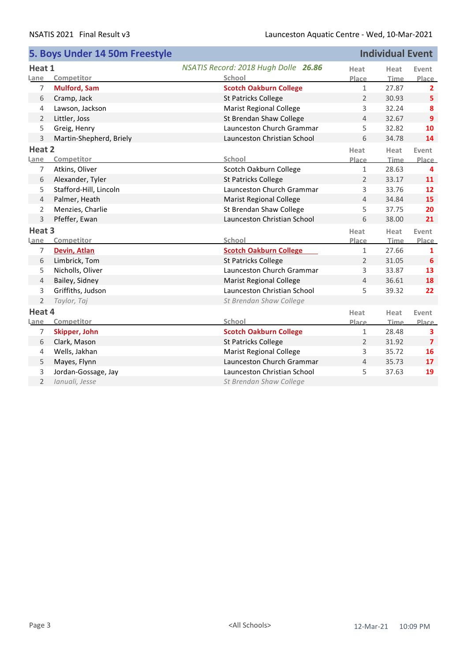|                   | 5. Boys Under 14 50m Freestyle |                                      |                | <b>Individual Event</b> |                 |
|-------------------|--------------------------------|--------------------------------------|----------------|-------------------------|-----------------|
| Heat 1            |                                | NSATIS Record: 2018 Hugh Dolle 26.86 | Heat           | Heat                    | Event           |
| Lane              | Competitor                     | School                               | Place          | Time                    | Place           |
| 7                 | <b>Mulford, Sam</b>            | <b>Scotch Oakburn College</b>        | $\mathbf{1}$   | 27.87                   | $\overline{2}$  |
| 6                 | Cramp, Jack                    | <b>St Patricks College</b>           | $\overline{2}$ | 30.93                   | 5               |
| $\overline{4}$    | Lawson, Jackson                | <b>Marist Regional College</b>       | 3              | 32.24                   | 8               |
| 2                 | Littler, Joss                  | St Brendan Shaw College              | 4              | 32.67                   | 9               |
| 5                 | Greig, Henry                   | Launceston Church Grammar            | 5              | 32.82                   | 10              |
| 3                 | Martin-Shepherd, Briely        | Launceston Christian School          | 6              | 34.78                   | 14              |
| Heat 2            |                                |                                      | Heat           | Heat                    | Event           |
| Lane              | Competitor                     | School                               | Place          | <b>Time</b>             | <b>Place</b>    |
| $\overline{7}$    | Atkins, Oliver                 | Scotch Oakburn College               | $\mathbf{1}$   | 28.63                   | 4               |
| 6                 | Alexander, Tyler               | <b>St Patricks College</b>           | $\overline{2}$ | 33.17                   | 11              |
| 5                 | Stafford-Hill, Lincoln         | Launceston Church Grammar            | 3              | 33.76                   | 12              |
| $\overline{4}$    | Palmer, Heath                  | <b>Marist Regional College</b>       | 4              | 34.84                   | 15              |
| 2                 | Menzies, Charlie               | St Brendan Shaw College              | 5              | 37.75                   | 20              |
| 3                 | Pfeffer, Ewan                  | Launceston Christian School          | 6              | 38.00                   | 21              |
| Heat <sub>3</sub> |                                |                                      | Heat           | Heat                    | Event           |
| <b>Lane</b>       | Competitor                     | School                               | Place          | Time                    | Place           |
| $\overline{7}$    | Devin, Atlan                   | <b>Scotch Oakburn College</b>        | $\mathbf{1}$   | 27.66                   | $\mathbf{1}$    |
| 6                 | Limbrick, Tom                  | St Patricks College                  | $\overline{2}$ | 31.05                   | 6               |
| 5                 | Nicholls, Oliver               | Launceston Church Grammar            | 3              | 33.87                   | 13              |
| $\overline{4}$    | Bailey, Sidney                 | <b>Marist Regional College</b>       | $\overline{4}$ | 36.61                   | 18              |
| 3                 | Griffiths, Judson              | Launceston Christian School          | 5              | 39.32                   | 22              |
| $\overline{2}$    | Taylor, Taj                    | St Brendan Shaw College              |                |                         |                 |
| Heat 4            |                                |                                      | Heat           | Heat                    | Event           |
| Lane              | Competitor                     | School                               | Place          | Time                    | <b>Place</b>    |
| 7                 | Skipper, John                  | <b>Scotch Oakburn College</b>        | $\mathbf{1}$   | 28.48                   | 3               |
| 6                 | Clark, Mason                   | <b>St Patricks College</b>           | $\overline{2}$ | 31.92                   | $\overline{7}$  |
| 4                 | Wells, Jakhan                  | <b>Marist Regional College</b>       | 3              | 35.72                   | 16              |
| 5                 | Mayes, Flynn                   | Launceston Church Grammar            | $\overline{4}$ | 35.73                   | 17 <sup>2</sup> |
| 3                 | Jordan-Gossage, Jay            | Launceston Christian School          | 5              | 37.63                   | 19              |
| $\overline{2}$    | Ianuali, Jesse                 | St Brendan Shaw College              |                |                         |                 |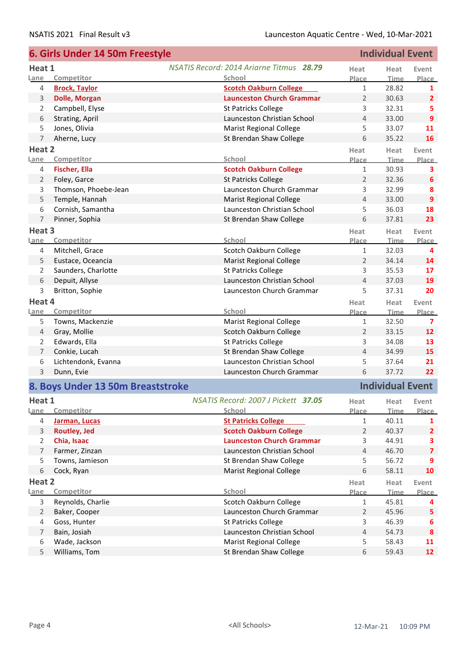|                | 6. Girls Under 14 50m Freestyle   |                                                 |                | <b>Individual Event</b> |                  |
|----------------|-----------------------------------|-------------------------------------------------|----------------|-------------------------|------------------|
| Heat 1         |                                   | <b>NSATIS Record: 2014 Ariarne Titmus 28.79</b> | Heat           | Heat                    | Event            |
| Lane           | Competitor                        | School                                          | Place          | <b>Time</b>             | Place            |
| 4              | <b>Brock, Taylor</b>              | <b>Scotch Oakburn College</b>                   | $\mathbf{1}$   | 28.82                   | 1                |
| 3              | <b>Dolle, Morgan</b>              | <b>Launceston Church Grammar</b>                | $\overline{2}$ | 30.63                   | $\overline{2}$   |
| 2              | Campbell, Elyse                   | St Patricks College                             | 3              | 32.31                   | 5                |
| 6              | Strating, April                   | Launceston Christian School                     | 4              | 33.00                   | 9                |
| 5              | Jones, Olivia                     | <b>Marist Regional College</b>                  | 5              | 33.07                   | 11               |
| $\overline{7}$ | Aherne, Lucy                      | St Brendan Shaw College                         | 6              | 35.22                   | 16               |
| Heat 2         |                                   |                                                 | Heat           | Heat                    | Event            |
| Lane           | Competitor                        | School                                          | Place          | <b>Time</b>             | <b>Place</b>     |
| 4              | Fischer, Ella                     | <b>Scotch Oakburn College</b>                   | $1\,$          | 30.93                   | 3                |
| 2              | Foley, Garce                      | <b>St Patricks College</b>                      | $\overline{2}$ | 32.36                   | 6                |
| 3              | Thomson, Phoebe-Jean              | Launceston Church Grammar                       | $\mathsf{3}$   | 32.99                   | 8                |
| 5              | Temple, Hannah                    | <b>Marist Regional College</b>                  | 4              | 33.00                   | 9                |
| 6              | Cornish, Samantha                 | Launceston Christian School                     | 5              | 36.03                   | 18               |
| 7              | Pinner, Sophia                    | St Brendan Shaw College                         | 6              | 37.81                   | 23               |
| Heat 3         |                                   |                                                 | Heat           | Heat                    | Event            |
| Lane           | Competitor                        | School                                          | Place          | <b>Time</b>             | Place            |
| 4              | Mitchell, Grace                   | Scotch Oakburn College                          | $\mathbf{1}$   | 32.03                   | 4                |
| 5              | Eustace, Oceancia                 | <b>Marist Regional College</b>                  | $\overline{2}$ | 34.14                   | 14               |
| 2              | Saunders, Charlotte               | <b>St Patricks College</b>                      | 3              | 35.53                   | 17               |
| 6              | Depuit, Allyse                    | Launceston Christian School                     | $\overline{4}$ | 37.03                   | 19               |
| 3              | Britton, Sophie                   | Launceston Church Grammar                       | 5              | 37.31                   | 20               |
| Heat 4         |                                   |                                                 | Heat           | Heat                    | Event            |
| Lane           | Competitor                        | School                                          | Place          | Time                    | Place            |
| 5              | Towns, Mackenzie                  | <b>Marist Regional College</b>                  | $\mathbf{1}$   | 32.50                   | 7                |
| 4              | Gray, Mollie                      | Scotch Oakburn College                          | $\overline{2}$ | 33.15                   | 12               |
| 2              | Edwards, Ella                     | <b>St Patricks College</b>                      | 3              | 34.08                   | 13               |
| 7              | Conkie, Lucah                     | St Brendan Shaw College                         | $\overline{4}$ | 34.99                   | 15               |
| 6              | Lichtendonk, Evanna               | Launceston Christian School                     | 5              | 37.64                   | 21               |
| 3              | Dunn, Evie                        | Launceston Church Grammar                       | 6              | 37.72                   | 22               |
|                | 8. Boys Under 13 50m Breaststroke |                                                 |                | <b>Individual Event</b> |                  |
| Heat 1         |                                   | NSATIS Record: 2007 J Pickett 37.05             | Heat           | Heat                    | Event            |
| <u>Lane</u>    | Competitor                        | School                                          | Place          | <b>Time</b>             | Place            |
| 4              | Jarman, Lucas                     | <b>St Patricks College</b>                      | $\mathbf{1}$   | 40.11                   | 1                |
| 3              | <b>Routley, Jed</b>               | <b>Scotch Oakburn College</b>                   | $\overline{2}$ | 40.37                   | $\overline{2}$   |
| $\overline{2}$ | Chia, Isaac                       | <b>Launceston Church Grammar</b>                | 3              | 44.91                   | 3                |
| 7              | Farmer, Zinzan                    | Launceston Christian School                     | $\overline{4}$ | 46.70                   | $\overline{7}$   |
| 5              | Towns, Jamieson                   | St Brendan Shaw College                         | 5              | 56.72                   | 9                |
| 6              | Cock, Ryan                        | <b>Marist Regional College</b>                  | 6              | 58.11                   | 10               |
| Heat 2         |                                   |                                                 | Heat           | Heat                    | Event            |
| Lane           | Competitor                        | School                                          | Place          | <b>Time</b>             | Place            |
| 3              | Reynolds, Charlie                 | Scotch Oakburn College                          | $\mathbf{1}$   | 45.81                   | 4                |
| $\overline{2}$ | Baker, Cooper                     | Launceston Church Grammar                       | $\overline{2}$ | 45.96                   | 5                |
| 4              | Goss, Hunter                      | <b>St Patricks College</b>                      | 3              | 46.39                   | 6                |
| 7              | Bain, Josiah                      | Launceston Christian School                     | $\overline{4}$ | 54.73                   | $\boldsymbol{8}$ |
| 6              | Wade, Jackson                     | <b>Marist Regional College</b>                  | 5              | 58.43                   | 11               |
| 5              | Williams, Tom                     | St Brendan Shaw College                         | 6              | 59.43                   | 12               |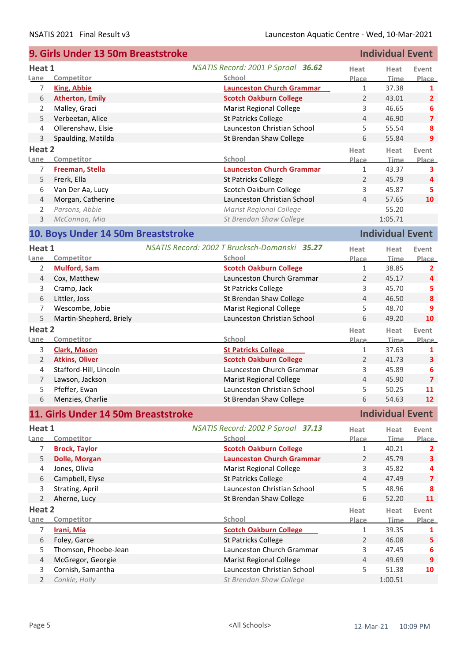|                | 9. Girls Under 13 50m Breaststroke  |                                               |                | <b>Individual Event</b> |                         |
|----------------|-------------------------------------|-----------------------------------------------|----------------|-------------------------|-------------------------|
| Heat 1         |                                     | NSATIS Record: 2001 P Sproal 36.62            | Heat           | Heat                    | Event                   |
| Lane           | Competitor                          | School                                        | Place          | <b>Time</b>             | Place                   |
| 7              | <b>King, Abbie</b>                  | <b>Launceston Church Grammar</b>              | $\mathbf{1}$   | 37.38                   | 1                       |
| 6              | <b>Atherton, Emily</b>              | <b>Scotch Oakburn College</b>                 | 2              | 43.01                   | $\overline{2}$          |
| 2              | Malley, Graci                       | <b>Marist Regional College</b>                | 3              | 46.65                   | 6                       |
| 5              | Verbeetan, Alice                    | <b>St Patricks College</b>                    | 4              | 46.90                   | $\overline{\mathbf{z}}$ |
| 4              | Ollerenshaw, Elsie                  | Launceston Christian School                   | 5              | 55.54                   | 8                       |
| 3              | Spaulding, Matilda                  | St Brendan Shaw College                       | 6              | 55.84                   | $\overline{9}$          |
| Heat 2         |                                     |                                               |                |                         |                         |
| <u>Lane</u>    | Competitor                          | School                                        | Heat<br>Place  | Heat<br><b>Time</b>     | Event<br>Place          |
| 7              | Freeman, Stella                     | <b>Launceston Church Grammar</b>              | $\mathbf{1}$   | 43.37                   | 3                       |
| 5              | Frerk, Ella                         | <b>St Patricks College</b>                    | $\overline{2}$ | 45.79                   | $\overline{4}$          |
| 6              | Van Der Aa, Lucy                    | Scotch Oakburn College                        | $\mathsf 3$    | 45.87                   | 5                       |
| $\overline{4}$ | Morgan, Catherine                   | Launceston Christian School                   | $\overline{4}$ | 57.65                   | 10                      |
|                | Parsons, Abbie                      | <b>Marist Regional College</b>                |                | 55.20                   |                         |
| 2              |                                     |                                               |                |                         |                         |
| 3              | McConnon, Mia                       | St Brendan Shaw College                       |                | 1:05.71                 |                         |
|                | 10. Boys Under 14 50m Breaststroke  |                                               |                | <b>Individual Event</b> |                         |
| Heat 1         |                                     | NSATIS Record: 2002 T Brucksch-Domanski 35.27 | Heat           | Heat                    | Event                   |
| Lane           | Competitor                          | School                                        | Place          | <b>Time</b>             | Place                   |
| 2              | <b>Mulford, Sam</b>                 | <b>Scotch Oakburn College</b>                 | $\mathbf{1}$   | 38.85                   | $\mathbf{2}$            |
| $\overline{4}$ | Cox, Matthew                        | Launceston Church Grammar                     | 2              | 45.17                   | 4                       |
| 3              | Cramp, Jack                         | St Patricks College                           | 3              | 45.70                   | 5                       |
| 6              | Littler, Joss                       | St Brendan Shaw College                       | 4              | 46.50                   | $\boldsymbol{8}$        |
| 7              | Wescombe, Jobie                     | <b>Marist Regional College</b>                | 5              | 48.70                   | 9                       |
| 5              | Martin-Shepherd, Briely             | Launceston Christian School                   | 6              | 49.20                   | 10                      |
| Heat 2         |                                     |                                               | Heat           | Heat                    | Event                   |
| Lane           | Competitor                          | School                                        | Place          | Time                    | Place                   |
| 3              | <b>Clark, Mason</b>                 | <b>St Patricks College</b>                    | $\mathbf{1}$   | 37.63                   | 1                       |
| $\overline{2}$ | <b>Atkins, Oliver</b>               | <b>Scotch Oakburn College</b>                 | 2              | 41.73                   | $\overline{\mathbf{3}}$ |
| 4              | Stafford-Hill, Lincoln              | Launceston Church Grammar                     | 3              | 45.89                   | 6                       |
| 7              | Lawson, Jackson                     | <b>Marist Regional College</b>                | $\overline{4}$ | 45.90                   | $\overline{\mathbf{z}}$ |
| 5              | Pfeffer, Ewan                       | Launceston Christian School                   | 5              | 50.25                   | 11                      |
| 6              | Menzies, Charlie                    | St Brendan Shaw College                       | 6              | 54.63                   | 12 <sup>2</sup>         |
|                |                                     |                                               |                |                         |                         |
|                | 11. Girls Under 14 50m Breaststroke |                                               |                | <b>Individual Event</b> |                         |
| Heat 1         |                                     | NSATIS Record: 2002 P Sproal 37.13            | Heat           | Heat                    | Event                   |
| Lane           | Competitor                          | School                                        | Place          | <b>Time</b>             | Place                   |
| 7              | <b>Brock, Taylor</b>                | <b>Scotch Oakburn College</b>                 | 1              | 40.21                   | 2                       |
| 5              | <b>Dolle, Morgan</b>                | <b>Launceston Church Grammar</b>              | 2              | 45.79                   | $\overline{\mathbf{3}}$ |
| 4              | Jones, Olivia                       | <b>Marist Regional College</b>                | 3              | 45.82                   | 4                       |
| 6              | Campbell, Elyse                     | <b>St Patricks College</b>                    | $\overline{4}$ | 47.49                   | $\overline{\mathbf{z}}$ |
| 3              | Strating, April                     | Launceston Christian School                   | 5              | 48.96                   | 8                       |
| $\overline{2}$ | Aherne, Lucy                        | St Brendan Shaw College                       | 6              | 52.20                   | 11                      |
| Heat 2         |                                     |                                               | Heat           | Heat                    | Event                   |
| Lane           | Competitor                          | School                                        | Place          | Time                    | Place                   |
| 7              | Irani, Mia                          | <b>Scotch Oakburn College</b>                 | 1              | 39.35                   | 1                       |
| $\,$ 6 $\,$    | Foley, Garce                        | <b>St Patricks College</b>                    | 2              | 46.08                   | 5                       |
| 5              | Thomson, Phoebe-Jean                | Launceston Church Grammar                     | 3              | 47.45                   | 6                       |
| $\overline{4}$ | McGregor, Georgie                   | <b>Marist Regional College</b>                | $\overline{4}$ | 49.69                   | 9                       |
| 3              | Cornish, Samantha                   | Launceston Christian School                   | 5              | 51.38                   | 10                      |
| $\overline{2}$ | Conkie, Holly                       | St Brendan Shaw College                       |                | 1:00.51                 |                         |
|                |                                     |                                               |                |                         |                         |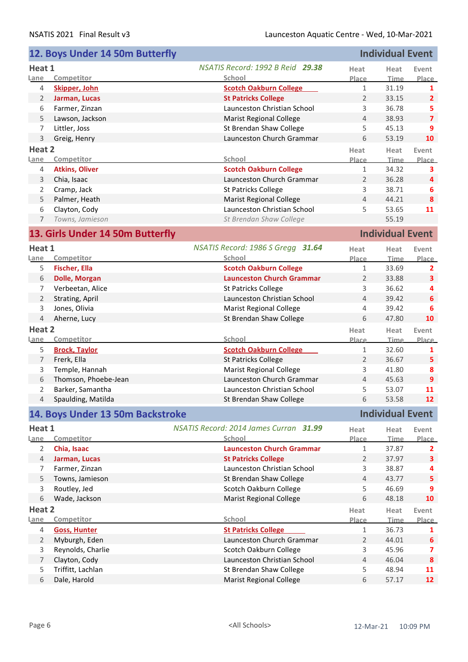| NSATIS Record: 1992 B Reid 29.38<br>Heat 1<br>Heat<br>Heat<br>Event<br>Competitor<br>School<br>Lane<br>Place<br><b>Time</b><br>Place<br><b>Skipper, John</b><br><b>Scotch Oakburn College</b><br>$\mathbf{1}$<br>31.19<br>4<br>$\mathbf{1}$<br><b>St Patricks College</b><br>2<br>Jarman, Lucas<br>$\overline{2}$<br>33.15<br>$\overline{2}$<br>Launceston Christian School<br>3<br>36.78<br>Farmer, Zinzan<br>5<br>6<br>$\overline{7}$<br>5<br>Lawson, Jackson<br><b>Marist Regional College</b><br>38.93<br>4<br>Littler, Joss<br>5<br>45.13<br>9<br>7<br>St Brendan Shaw College<br>Launceston Church Grammar<br>6<br>10<br>3<br>53.19<br>Greig, Henry<br>Heat 2<br>Heat<br>Heat<br>Event<br>School<br>Competitor<br>Place<br><b>Time</b><br>Lane<br><b>Atkins, Oliver</b><br><b>Scotch Oakburn College</b><br>34.32<br>4<br>$\mathbf{1}$<br>3<br>Launceston Church Grammar<br>36.28<br>3<br>Chia, Isaac<br>2<br>4<br><b>St Patricks College</b><br>3<br>38.71<br>Cramp, Jack<br>2<br>6<br>$\overline{4}$<br>8<br>5<br>Palmer, Heath<br><b>Marist Regional College</b><br>44.21<br>Clayton, Cody<br>Launceston Christian School<br>11<br>5<br>53.65<br>6<br>55.19<br>7<br>Towns, Jamieson<br>St Brendan Shaw College<br><b>Individual Event</b><br>13. Girls Under 14 50m Butterfly<br>NSATIS Record: 1986 S Gregg 31.64<br>Heat 1<br>Heat<br>Heat<br>Event<br>School<br>Competitor<br>Place<br><b>Time</b><br>Lane<br>Fischer, Ella<br><b>Scotch Oakburn College</b><br>5<br>$\mathbf{1}$<br>33.69<br>2<br><b>Dolle, Morgan</b><br><b>Launceston Church Grammar</b><br>33.88<br>6<br>2<br>3<br>Verbeetan, Alice<br>St Patricks College<br>3<br>36.62<br>7<br>4<br>$\overline{2}$<br>Strating, April<br>Launceston Christian School<br>$\overline{4}$<br>39.42<br>6<br>3<br>Jones, Olivia<br><b>Marist Regional College</b><br>4<br>39.42<br>6<br>6<br>10<br>$\overline{4}$<br>Aherne, Lucy<br>St Brendan Shaw College<br>47.80<br>Heat 2<br>Heat<br>Heat<br>Event<br>Competitor<br>School<br>Lane<br><b>Time</b><br>Place<br><b>Scotch Oakburn College</b><br>5<br><b>Brock, Taylor</b><br>32.60<br>$\mathbf{1}$<br>1<br>Frerk, Ella<br><b>St Patricks College</b><br>$\overline{7}$<br>$\overline{2}$<br>36.67<br>5<br>Temple, Hannah<br><b>Marist Regional College</b><br>3<br>8<br>3<br>41.80<br>Thomson, Phoebe-Jean<br>Launceston Church Grammar<br>9<br>6<br>$\overline{4}$<br>45.63<br>Barker, Samantha<br>Launceston Christian School<br>5<br>11<br>53.07<br>2<br>Spaulding, Matilda<br>6<br>53.58<br>12 <sup>2</sup><br>$\overline{4}$<br>St Brendan Shaw College<br><b>Individual Event</b><br>14. Boys Under 13 50m Backstroke<br>NSATIS Record: 2014 James Curran 31.99<br>Heat 1<br>Heat<br>Heat<br>Event<br>School<br>Lane<br>Competitor<br>Place<br><b>Time</b><br><b>Place</b><br><b>Launceston Church Grammar</b><br>2<br>Chia, Isaac<br>37.87<br>1<br>2<br>Jarman, Lucas<br><b>St Patricks College</b><br>$\overline{2}$<br>37.97<br>3<br>4<br>Launceston Christian School<br>Farmer, Zinzan<br>3<br>38.87<br>7<br>4<br>5<br>St Brendan Shaw College<br>$\overline{4}$<br>5<br>Towns, Jamieson<br>43.77<br>Scotch Oakburn College<br>5<br>46.69<br>3<br>Routley, Jed<br>9<br>6<br>6<br>Wade, Jackson<br><b>Marist Regional College</b><br>48.18<br>10<br>Heat 2<br>Heat<br>Heat<br>Event<br>Competitor<br>School<br>Lane<br>Place<br><b>Time</b><br><b>St Patricks College</b><br><b>Goss, Hunter</b><br>36.73<br>4<br>1<br>1<br>Myburgh, Eden<br>Launceston Church Grammar<br>$\overline{2}$<br>$\overline{2}$<br>44.01<br>$\boldsymbol{6}$<br>Reynolds, Charlie<br>Scotch Oakburn College<br>3<br>3<br>45.96<br>$\overline{\mathbf{z}}$<br>$\overline{4}$<br>$\overline{7}$<br>Clayton, Cody<br>Launceston Christian School<br>46.04<br>8<br>Triffitt, Lachlan<br>St Brendan Shaw College<br>5<br>5<br>48.94<br>11 |   | 12. Boys Under 14 50m Butterfly |                                |   | <b>Individual Event</b> |    |
|--------------------------------------------------------------------------------------------------------------------------------------------------------------------------------------------------------------------------------------------------------------------------------------------------------------------------------------------------------------------------------------------------------------------------------------------------------------------------------------------------------------------------------------------------------------------------------------------------------------------------------------------------------------------------------------------------------------------------------------------------------------------------------------------------------------------------------------------------------------------------------------------------------------------------------------------------------------------------------------------------------------------------------------------------------------------------------------------------------------------------------------------------------------------------------------------------------------------------------------------------------------------------------------------------------------------------------------------------------------------------------------------------------------------------------------------------------------------------------------------------------------------------------------------------------------------------------------------------------------------------------------------------------------------------------------------------------------------------------------------------------------------------------------------------------------------------------------------------------------------------------------------------------------------------------------------------------------------------------------------------------------------------------------------------------------------------------------------------------------------------------------------------------------------------------------------------------------------------------------------------------------------------------------------------------------------------------------------------------------------------------------------------------------------------------------------------------------------------------------------------------------------------------------------------------------------------------------------------------------------------------------------------------------------------------------------------------------------------------------------------------------------------------------------------------------------------------------------------------------------------------------------------------------------------------------------------------------------------------------------------------------------------------------------------------------------------------------------------------------------------------------------------------------------------------------------------------------------------------------------------------------------------------------------------------------------------------------------------------------------------------------------------------------------------------------------------------------------------------------------------------------------------------------------------------------------------------------------------------------------------------------------------------------------------------------------------------------------------------------------------------------------------------------------------------------------------------------------|---|---------------------------------|--------------------------------|---|-------------------------|----|
|                                                                                                                                                                                                                                                                                                                                                                                                                                                                                                                                                                                                                                                                                                                                                                                                                                                                                                                                                                                                                                                                                                                                                                                                                                                                                                                                                                                                                                                                                                                                                                                                                                                                                                                                                                                                                                                                                                                                                                                                                                                                                                                                                                                                                                                                                                                                                                                                                                                                                                                                                                                                                                                                                                                                                                                                                                                                                                                                                                                                                                                                                                                                                                                                                                                                                                                                                                                                                                                                                                                                                                                                                                                                                                                                                                                                                                            |   |                                 |                                |   |                         |    |
| Place<br>Place<br>Place<br>Place                                                                                                                                                                                                                                                                                                                                                                                                                                                                                                                                                                                                                                                                                                                                                                                                                                                                                                                                                                                                                                                                                                                                                                                                                                                                                                                                                                                                                                                                                                                                                                                                                                                                                                                                                                                                                                                                                                                                                                                                                                                                                                                                                                                                                                                                                                                                                                                                                                                                                                                                                                                                                                                                                                                                                                                                                                                                                                                                                                                                                                                                                                                                                                                                                                                                                                                                                                                                                                                                                                                                                                                                                                                                                                                                                                                                           |   |                                 |                                |   |                         |    |
|                                                                                                                                                                                                                                                                                                                                                                                                                                                                                                                                                                                                                                                                                                                                                                                                                                                                                                                                                                                                                                                                                                                                                                                                                                                                                                                                                                                                                                                                                                                                                                                                                                                                                                                                                                                                                                                                                                                                                                                                                                                                                                                                                                                                                                                                                                                                                                                                                                                                                                                                                                                                                                                                                                                                                                                                                                                                                                                                                                                                                                                                                                                                                                                                                                                                                                                                                                                                                                                                                                                                                                                                                                                                                                                                                                                                                                            |   |                                 |                                |   |                         |    |
|                                                                                                                                                                                                                                                                                                                                                                                                                                                                                                                                                                                                                                                                                                                                                                                                                                                                                                                                                                                                                                                                                                                                                                                                                                                                                                                                                                                                                                                                                                                                                                                                                                                                                                                                                                                                                                                                                                                                                                                                                                                                                                                                                                                                                                                                                                                                                                                                                                                                                                                                                                                                                                                                                                                                                                                                                                                                                                                                                                                                                                                                                                                                                                                                                                                                                                                                                                                                                                                                                                                                                                                                                                                                                                                                                                                                                                            |   |                                 |                                |   |                         |    |
|                                                                                                                                                                                                                                                                                                                                                                                                                                                                                                                                                                                                                                                                                                                                                                                                                                                                                                                                                                                                                                                                                                                                                                                                                                                                                                                                                                                                                                                                                                                                                                                                                                                                                                                                                                                                                                                                                                                                                                                                                                                                                                                                                                                                                                                                                                                                                                                                                                                                                                                                                                                                                                                                                                                                                                                                                                                                                                                                                                                                                                                                                                                                                                                                                                                                                                                                                                                                                                                                                                                                                                                                                                                                                                                                                                                                                                            |   |                                 |                                |   |                         |    |
|                                                                                                                                                                                                                                                                                                                                                                                                                                                                                                                                                                                                                                                                                                                                                                                                                                                                                                                                                                                                                                                                                                                                                                                                                                                                                                                                                                                                                                                                                                                                                                                                                                                                                                                                                                                                                                                                                                                                                                                                                                                                                                                                                                                                                                                                                                                                                                                                                                                                                                                                                                                                                                                                                                                                                                                                                                                                                                                                                                                                                                                                                                                                                                                                                                                                                                                                                                                                                                                                                                                                                                                                                                                                                                                                                                                                                                            |   |                                 |                                |   |                         |    |
|                                                                                                                                                                                                                                                                                                                                                                                                                                                                                                                                                                                                                                                                                                                                                                                                                                                                                                                                                                                                                                                                                                                                                                                                                                                                                                                                                                                                                                                                                                                                                                                                                                                                                                                                                                                                                                                                                                                                                                                                                                                                                                                                                                                                                                                                                                                                                                                                                                                                                                                                                                                                                                                                                                                                                                                                                                                                                                                                                                                                                                                                                                                                                                                                                                                                                                                                                                                                                                                                                                                                                                                                                                                                                                                                                                                                                                            |   |                                 |                                |   |                         |    |
|                                                                                                                                                                                                                                                                                                                                                                                                                                                                                                                                                                                                                                                                                                                                                                                                                                                                                                                                                                                                                                                                                                                                                                                                                                                                                                                                                                                                                                                                                                                                                                                                                                                                                                                                                                                                                                                                                                                                                                                                                                                                                                                                                                                                                                                                                                                                                                                                                                                                                                                                                                                                                                                                                                                                                                                                                                                                                                                                                                                                                                                                                                                                                                                                                                                                                                                                                                                                                                                                                                                                                                                                                                                                                                                                                                                                                                            |   |                                 |                                |   |                         |    |
|                                                                                                                                                                                                                                                                                                                                                                                                                                                                                                                                                                                                                                                                                                                                                                                                                                                                                                                                                                                                                                                                                                                                                                                                                                                                                                                                                                                                                                                                                                                                                                                                                                                                                                                                                                                                                                                                                                                                                                                                                                                                                                                                                                                                                                                                                                                                                                                                                                                                                                                                                                                                                                                                                                                                                                                                                                                                                                                                                                                                                                                                                                                                                                                                                                                                                                                                                                                                                                                                                                                                                                                                                                                                                                                                                                                                                                            |   |                                 |                                |   |                         |    |
|                                                                                                                                                                                                                                                                                                                                                                                                                                                                                                                                                                                                                                                                                                                                                                                                                                                                                                                                                                                                                                                                                                                                                                                                                                                                                                                                                                                                                                                                                                                                                                                                                                                                                                                                                                                                                                                                                                                                                                                                                                                                                                                                                                                                                                                                                                                                                                                                                                                                                                                                                                                                                                                                                                                                                                                                                                                                                                                                                                                                                                                                                                                                                                                                                                                                                                                                                                                                                                                                                                                                                                                                                                                                                                                                                                                                                                            |   |                                 |                                |   |                         |    |
|                                                                                                                                                                                                                                                                                                                                                                                                                                                                                                                                                                                                                                                                                                                                                                                                                                                                                                                                                                                                                                                                                                                                                                                                                                                                                                                                                                                                                                                                                                                                                                                                                                                                                                                                                                                                                                                                                                                                                                                                                                                                                                                                                                                                                                                                                                                                                                                                                                                                                                                                                                                                                                                                                                                                                                                                                                                                                                                                                                                                                                                                                                                                                                                                                                                                                                                                                                                                                                                                                                                                                                                                                                                                                                                                                                                                                                            |   |                                 |                                |   |                         |    |
|                                                                                                                                                                                                                                                                                                                                                                                                                                                                                                                                                                                                                                                                                                                                                                                                                                                                                                                                                                                                                                                                                                                                                                                                                                                                                                                                                                                                                                                                                                                                                                                                                                                                                                                                                                                                                                                                                                                                                                                                                                                                                                                                                                                                                                                                                                                                                                                                                                                                                                                                                                                                                                                                                                                                                                                                                                                                                                                                                                                                                                                                                                                                                                                                                                                                                                                                                                                                                                                                                                                                                                                                                                                                                                                                                                                                                                            |   |                                 |                                |   |                         |    |
|                                                                                                                                                                                                                                                                                                                                                                                                                                                                                                                                                                                                                                                                                                                                                                                                                                                                                                                                                                                                                                                                                                                                                                                                                                                                                                                                                                                                                                                                                                                                                                                                                                                                                                                                                                                                                                                                                                                                                                                                                                                                                                                                                                                                                                                                                                                                                                                                                                                                                                                                                                                                                                                                                                                                                                                                                                                                                                                                                                                                                                                                                                                                                                                                                                                                                                                                                                                                                                                                                                                                                                                                                                                                                                                                                                                                                                            |   |                                 |                                |   |                         |    |
|                                                                                                                                                                                                                                                                                                                                                                                                                                                                                                                                                                                                                                                                                                                                                                                                                                                                                                                                                                                                                                                                                                                                                                                                                                                                                                                                                                                                                                                                                                                                                                                                                                                                                                                                                                                                                                                                                                                                                                                                                                                                                                                                                                                                                                                                                                                                                                                                                                                                                                                                                                                                                                                                                                                                                                                                                                                                                                                                                                                                                                                                                                                                                                                                                                                                                                                                                                                                                                                                                                                                                                                                                                                                                                                                                                                                                                            |   |                                 |                                |   |                         |    |
|                                                                                                                                                                                                                                                                                                                                                                                                                                                                                                                                                                                                                                                                                                                                                                                                                                                                                                                                                                                                                                                                                                                                                                                                                                                                                                                                                                                                                                                                                                                                                                                                                                                                                                                                                                                                                                                                                                                                                                                                                                                                                                                                                                                                                                                                                                                                                                                                                                                                                                                                                                                                                                                                                                                                                                                                                                                                                                                                                                                                                                                                                                                                                                                                                                                                                                                                                                                                                                                                                                                                                                                                                                                                                                                                                                                                                                            |   |                                 |                                |   |                         |    |
|                                                                                                                                                                                                                                                                                                                                                                                                                                                                                                                                                                                                                                                                                                                                                                                                                                                                                                                                                                                                                                                                                                                                                                                                                                                                                                                                                                                                                                                                                                                                                                                                                                                                                                                                                                                                                                                                                                                                                                                                                                                                                                                                                                                                                                                                                                                                                                                                                                                                                                                                                                                                                                                                                                                                                                                                                                                                                                                                                                                                                                                                                                                                                                                                                                                                                                                                                                                                                                                                                                                                                                                                                                                                                                                                                                                                                                            |   |                                 |                                |   |                         |    |
|                                                                                                                                                                                                                                                                                                                                                                                                                                                                                                                                                                                                                                                                                                                                                                                                                                                                                                                                                                                                                                                                                                                                                                                                                                                                                                                                                                                                                                                                                                                                                                                                                                                                                                                                                                                                                                                                                                                                                                                                                                                                                                                                                                                                                                                                                                                                                                                                                                                                                                                                                                                                                                                                                                                                                                                                                                                                                                                                                                                                                                                                                                                                                                                                                                                                                                                                                                                                                                                                                                                                                                                                                                                                                                                                                                                                                                            |   |                                 |                                |   |                         |    |
|                                                                                                                                                                                                                                                                                                                                                                                                                                                                                                                                                                                                                                                                                                                                                                                                                                                                                                                                                                                                                                                                                                                                                                                                                                                                                                                                                                                                                                                                                                                                                                                                                                                                                                                                                                                                                                                                                                                                                                                                                                                                                                                                                                                                                                                                                                                                                                                                                                                                                                                                                                                                                                                                                                                                                                                                                                                                                                                                                                                                                                                                                                                                                                                                                                                                                                                                                                                                                                                                                                                                                                                                                                                                                                                                                                                                                                            |   |                                 |                                |   |                         |    |
|                                                                                                                                                                                                                                                                                                                                                                                                                                                                                                                                                                                                                                                                                                                                                                                                                                                                                                                                                                                                                                                                                                                                                                                                                                                                                                                                                                                                                                                                                                                                                                                                                                                                                                                                                                                                                                                                                                                                                                                                                                                                                                                                                                                                                                                                                                                                                                                                                                                                                                                                                                                                                                                                                                                                                                                                                                                                                                                                                                                                                                                                                                                                                                                                                                                                                                                                                                                                                                                                                                                                                                                                                                                                                                                                                                                                                                            |   |                                 |                                |   |                         |    |
|                                                                                                                                                                                                                                                                                                                                                                                                                                                                                                                                                                                                                                                                                                                                                                                                                                                                                                                                                                                                                                                                                                                                                                                                                                                                                                                                                                                                                                                                                                                                                                                                                                                                                                                                                                                                                                                                                                                                                                                                                                                                                                                                                                                                                                                                                                                                                                                                                                                                                                                                                                                                                                                                                                                                                                                                                                                                                                                                                                                                                                                                                                                                                                                                                                                                                                                                                                                                                                                                                                                                                                                                                                                                                                                                                                                                                                            |   |                                 |                                |   |                         |    |
|                                                                                                                                                                                                                                                                                                                                                                                                                                                                                                                                                                                                                                                                                                                                                                                                                                                                                                                                                                                                                                                                                                                                                                                                                                                                                                                                                                                                                                                                                                                                                                                                                                                                                                                                                                                                                                                                                                                                                                                                                                                                                                                                                                                                                                                                                                                                                                                                                                                                                                                                                                                                                                                                                                                                                                                                                                                                                                                                                                                                                                                                                                                                                                                                                                                                                                                                                                                                                                                                                                                                                                                                                                                                                                                                                                                                                                            |   |                                 |                                |   |                         |    |
|                                                                                                                                                                                                                                                                                                                                                                                                                                                                                                                                                                                                                                                                                                                                                                                                                                                                                                                                                                                                                                                                                                                                                                                                                                                                                                                                                                                                                                                                                                                                                                                                                                                                                                                                                                                                                                                                                                                                                                                                                                                                                                                                                                                                                                                                                                                                                                                                                                                                                                                                                                                                                                                                                                                                                                                                                                                                                                                                                                                                                                                                                                                                                                                                                                                                                                                                                                                                                                                                                                                                                                                                                                                                                                                                                                                                                                            |   |                                 |                                |   |                         |    |
|                                                                                                                                                                                                                                                                                                                                                                                                                                                                                                                                                                                                                                                                                                                                                                                                                                                                                                                                                                                                                                                                                                                                                                                                                                                                                                                                                                                                                                                                                                                                                                                                                                                                                                                                                                                                                                                                                                                                                                                                                                                                                                                                                                                                                                                                                                                                                                                                                                                                                                                                                                                                                                                                                                                                                                                                                                                                                                                                                                                                                                                                                                                                                                                                                                                                                                                                                                                                                                                                                                                                                                                                                                                                                                                                                                                                                                            |   |                                 |                                |   |                         |    |
|                                                                                                                                                                                                                                                                                                                                                                                                                                                                                                                                                                                                                                                                                                                                                                                                                                                                                                                                                                                                                                                                                                                                                                                                                                                                                                                                                                                                                                                                                                                                                                                                                                                                                                                                                                                                                                                                                                                                                                                                                                                                                                                                                                                                                                                                                                                                                                                                                                                                                                                                                                                                                                                                                                                                                                                                                                                                                                                                                                                                                                                                                                                                                                                                                                                                                                                                                                                                                                                                                                                                                                                                                                                                                                                                                                                                                                            |   |                                 |                                |   |                         |    |
|                                                                                                                                                                                                                                                                                                                                                                                                                                                                                                                                                                                                                                                                                                                                                                                                                                                                                                                                                                                                                                                                                                                                                                                                                                                                                                                                                                                                                                                                                                                                                                                                                                                                                                                                                                                                                                                                                                                                                                                                                                                                                                                                                                                                                                                                                                                                                                                                                                                                                                                                                                                                                                                                                                                                                                                                                                                                                                                                                                                                                                                                                                                                                                                                                                                                                                                                                                                                                                                                                                                                                                                                                                                                                                                                                                                                                                            |   |                                 |                                |   |                         |    |
|                                                                                                                                                                                                                                                                                                                                                                                                                                                                                                                                                                                                                                                                                                                                                                                                                                                                                                                                                                                                                                                                                                                                                                                                                                                                                                                                                                                                                                                                                                                                                                                                                                                                                                                                                                                                                                                                                                                                                                                                                                                                                                                                                                                                                                                                                                                                                                                                                                                                                                                                                                                                                                                                                                                                                                                                                                                                                                                                                                                                                                                                                                                                                                                                                                                                                                                                                                                                                                                                                                                                                                                                                                                                                                                                                                                                                                            |   |                                 |                                |   |                         |    |
|                                                                                                                                                                                                                                                                                                                                                                                                                                                                                                                                                                                                                                                                                                                                                                                                                                                                                                                                                                                                                                                                                                                                                                                                                                                                                                                                                                                                                                                                                                                                                                                                                                                                                                                                                                                                                                                                                                                                                                                                                                                                                                                                                                                                                                                                                                                                                                                                                                                                                                                                                                                                                                                                                                                                                                                                                                                                                                                                                                                                                                                                                                                                                                                                                                                                                                                                                                                                                                                                                                                                                                                                                                                                                                                                                                                                                                            |   |                                 |                                |   |                         |    |
|                                                                                                                                                                                                                                                                                                                                                                                                                                                                                                                                                                                                                                                                                                                                                                                                                                                                                                                                                                                                                                                                                                                                                                                                                                                                                                                                                                                                                                                                                                                                                                                                                                                                                                                                                                                                                                                                                                                                                                                                                                                                                                                                                                                                                                                                                                                                                                                                                                                                                                                                                                                                                                                                                                                                                                                                                                                                                                                                                                                                                                                                                                                                                                                                                                                                                                                                                                                                                                                                                                                                                                                                                                                                                                                                                                                                                                            |   |                                 |                                |   |                         |    |
|                                                                                                                                                                                                                                                                                                                                                                                                                                                                                                                                                                                                                                                                                                                                                                                                                                                                                                                                                                                                                                                                                                                                                                                                                                                                                                                                                                                                                                                                                                                                                                                                                                                                                                                                                                                                                                                                                                                                                                                                                                                                                                                                                                                                                                                                                                                                                                                                                                                                                                                                                                                                                                                                                                                                                                                                                                                                                                                                                                                                                                                                                                                                                                                                                                                                                                                                                                                                                                                                                                                                                                                                                                                                                                                                                                                                                                            |   |                                 |                                |   |                         |    |
|                                                                                                                                                                                                                                                                                                                                                                                                                                                                                                                                                                                                                                                                                                                                                                                                                                                                                                                                                                                                                                                                                                                                                                                                                                                                                                                                                                                                                                                                                                                                                                                                                                                                                                                                                                                                                                                                                                                                                                                                                                                                                                                                                                                                                                                                                                                                                                                                                                                                                                                                                                                                                                                                                                                                                                                                                                                                                                                                                                                                                                                                                                                                                                                                                                                                                                                                                                                                                                                                                                                                                                                                                                                                                                                                                                                                                                            |   |                                 |                                |   |                         |    |
|                                                                                                                                                                                                                                                                                                                                                                                                                                                                                                                                                                                                                                                                                                                                                                                                                                                                                                                                                                                                                                                                                                                                                                                                                                                                                                                                                                                                                                                                                                                                                                                                                                                                                                                                                                                                                                                                                                                                                                                                                                                                                                                                                                                                                                                                                                                                                                                                                                                                                                                                                                                                                                                                                                                                                                                                                                                                                                                                                                                                                                                                                                                                                                                                                                                                                                                                                                                                                                                                                                                                                                                                                                                                                                                                                                                                                                            |   |                                 |                                |   |                         |    |
|                                                                                                                                                                                                                                                                                                                                                                                                                                                                                                                                                                                                                                                                                                                                                                                                                                                                                                                                                                                                                                                                                                                                                                                                                                                                                                                                                                                                                                                                                                                                                                                                                                                                                                                                                                                                                                                                                                                                                                                                                                                                                                                                                                                                                                                                                                                                                                                                                                                                                                                                                                                                                                                                                                                                                                                                                                                                                                                                                                                                                                                                                                                                                                                                                                                                                                                                                                                                                                                                                                                                                                                                                                                                                                                                                                                                                                            |   |                                 |                                |   |                         |    |
|                                                                                                                                                                                                                                                                                                                                                                                                                                                                                                                                                                                                                                                                                                                                                                                                                                                                                                                                                                                                                                                                                                                                                                                                                                                                                                                                                                                                                                                                                                                                                                                                                                                                                                                                                                                                                                                                                                                                                                                                                                                                                                                                                                                                                                                                                                                                                                                                                                                                                                                                                                                                                                                                                                                                                                                                                                                                                                                                                                                                                                                                                                                                                                                                                                                                                                                                                                                                                                                                                                                                                                                                                                                                                                                                                                                                                                            |   |                                 |                                |   |                         |    |
|                                                                                                                                                                                                                                                                                                                                                                                                                                                                                                                                                                                                                                                                                                                                                                                                                                                                                                                                                                                                                                                                                                                                                                                                                                                                                                                                                                                                                                                                                                                                                                                                                                                                                                                                                                                                                                                                                                                                                                                                                                                                                                                                                                                                                                                                                                                                                                                                                                                                                                                                                                                                                                                                                                                                                                                                                                                                                                                                                                                                                                                                                                                                                                                                                                                                                                                                                                                                                                                                                                                                                                                                                                                                                                                                                                                                                                            |   |                                 |                                |   |                         |    |
|                                                                                                                                                                                                                                                                                                                                                                                                                                                                                                                                                                                                                                                                                                                                                                                                                                                                                                                                                                                                                                                                                                                                                                                                                                                                                                                                                                                                                                                                                                                                                                                                                                                                                                                                                                                                                                                                                                                                                                                                                                                                                                                                                                                                                                                                                                                                                                                                                                                                                                                                                                                                                                                                                                                                                                                                                                                                                                                                                                                                                                                                                                                                                                                                                                                                                                                                                                                                                                                                                                                                                                                                                                                                                                                                                                                                                                            |   |                                 |                                |   |                         |    |
|                                                                                                                                                                                                                                                                                                                                                                                                                                                                                                                                                                                                                                                                                                                                                                                                                                                                                                                                                                                                                                                                                                                                                                                                                                                                                                                                                                                                                                                                                                                                                                                                                                                                                                                                                                                                                                                                                                                                                                                                                                                                                                                                                                                                                                                                                                                                                                                                                                                                                                                                                                                                                                                                                                                                                                                                                                                                                                                                                                                                                                                                                                                                                                                                                                                                                                                                                                                                                                                                                                                                                                                                                                                                                                                                                                                                                                            |   |                                 |                                |   |                         |    |
|                                                                                                                                                                                                                                                                                                                                                                                                                                                                                                                                                                                                                                                                                                                                                                                                                                                                                                                                                                                                                                                                                                                                                                                                                                                                                                                                                                                                                                                                                                                                                                                                                                                                                                                                                                                                                                                                                                                                                                                                                                                                                                                                                                                                                                                                                                                                                                                                                                                                                                                                                                                                                                                                                                                                                                                                                                                                                                                                                                                                                                                                                                                                                                                                                                                                                                                                                                                                                                                                                                                                                                                                                                                                                                                                                                                                                                            |   |                                 |                                |   |                         |    |
|                                                                                                                                                                                                                                                                                                                                                                                                                                                                                                                                                                                                                                                                                                                                                                                                                                                                                                                                                                                                                                                                                                                                                                                                                                                                                                                                                                                                                                                                                                                                                                                                                                                                                                                                                                                                                                                                                                                                                                                                                                                                                                                                                                                                                                                                                                                                                                                                                                                                                                                                                                                                                                                                                                                                                                                                                                                                                                                                                                                                                                                                                                                                                                                                                                                                                                                                                                                                                                                                                                                                                                                                                                                                                                                                                                                                                                            |   |                                 |                                |   |                         |    |
|                                                                                                                                                                                                                                                                                                                                                                                                                                                                                                                                                                                                                                                                                                                                                                                                                                                                                                                                                                                                                                                                                                                                                                                                                                                                                                                                                                                                                                                                                                                                                                                                                                                                                                                                                                                                                                                                                                                                                                                                                                                                                                                                                                                                                                                                                                                                                                                                                                                                                                                                                                                                                                                                                                                                                                                                                                                                                                                                                                                                                                                                                                                                                                                                                                                                                                                                                                                                                                                                                                                                                                                                                                                                                                                                                                                                                                            |   |                                 |                                |   |                         |    |
|                                                                                                                                                                                                                                                                                                                                                                                                                                                                                                                                                                                                                                                                                                                                                                                                                                                                                                                                                                                                                                                                                                                                                                                                                                                                                                                                                                                                                                                                                                                                                                                                                                                                                                                                                                                                                                                                                                                                                                                                                                                                                                                                                                                                                                                                                                                                                                                                                                                                                                                                                                                                                                                                                                                                                                                                                                                                                                                                                                                                                                                                                                                                                                                                                                                                                                                                                                                                                                                                                                                                                                                                                                                                                                                                                                                                                                            |   |                                 |                                |   |                         |    |
|                                                                                                                                                                                                                                                                                                                                                                                                                                                                                                                                                                                                                                                                                                                                                                                                                                                                                                                                                                                                                                                                                                                                                                                                                                                                                                                                                                                                                                                                                                                                                                                                                                                                                                                                                                                                                                                                                                                                                                                                                                                                                                                                                                                                                                                                                                                                                                                                                                                                                                                                                                                                                                                                                                                                                                                                                                                                                                                                                                                                                                                                                                                                                                                                                                                                                                                                                                                                                                                                                                                                                                                                                                                                                                                                                                                                                                            |   |                                 |                                |   |                         |    |
|                                                                                                                                                                                                                                                                                                                                                                                                                                                                                                                                                                                                                                                                                                                                                                                                                                                                                                                                                                                                                                                                                                                                                                                                                                                                                                                                                                                                                                                                                                                                                                                                                                                                                                                                                                                                                                                                                                                                                                                                                                                                                                                                                                                                                                                                                                                                                                                                                                                                                                                                                                                                                                                                                                                                                                                                                                                                                                                                                                                                                                                                                                                                                                                                                                                                                                                                                                                                                                                                                                                                                                                                                                                                                                                                                                                                                                            |   |                                 |                                |   |                         |    |
|                                                                                                                                                                                                                                                                                                                                                                                                                                                                                                                                                                                                                                                                                                                                                                                                                                                                                                                                                                                                                                                                                                                                                                                                                                                                                                                                                                                                                                                                                                                                                                                                                                                                                                                                                                                                                                                                                                                                                                                                                                                                                                                                                                                                                                                                                                                                                                                                                                                                                                                                                                                                                                                                                                                                                                                                                                                                                                                                                                                                                                                                                                                                                                                                                                                                                                                                                                                                                                                                                                                                                                                                                                                                                                                                                                                                                                            |   |                                 |                                |   |                         |    |
|                                                                                                                                                                                                                                                                                                                                                                                                                                                                                                                                                                                                                                                                                                                                                                                                                                                                                                                                                                                                                                                                                                                                                                                                                                                                                                                                                                                                                                                                                                                                                                                                                                                                                                                                                                                                                                                                                                                                                                                                                                                                                                                                                                                                                                                                                                                                                                                                                                                                                                                                                                                                                                                                                                                                                                                                                                                                                                                                                                                                                                                                                                                                                                                                                                                                                                                                                                                                                                                                                                                                                                                                                                                                                                                                                                                                                                            |   |                                 |                                |   |                         |    |
|                                                                                                                                                                                                                                                                                                                                                                                                                                                                                                                                                                                                                                                                                                                                                                                                                                                                                                                                                                                                                                                                                                                                                                                                                                                                                                                                                                                                                                                                                                                                                                                                                                                                                                                                                                                                                                                                                                                                                                                                                                                                                                                                                                                                                                                                                                                                                                                                                                                                                                                                                                                                                                                                                                                                                                                                                                                                                                                                                                                                                                                                                                                                                                                                                                                                                                                                                                                                                                                                                                                                                                                                                                                                                                                                                                                                                                            |   |                                 |                                |   |                         |    |
|                                                                                                                                                                                                                                                                                                                                                                                                                                                                                                                                                                                                                                                                                                                                                                                                                                                                                                                                                                                                                                                                                                                                                                                                                                                                                                                                                                                                                                                                                                                                                                                                                                                                                                                                                                                                                                                                                                                                                                                                                                                                                                                                                                                                                                                                                                                                                                                                                                                                                                                                                                                                                                                                                                                                                                                                                                                                                                                                                                                                                                                                                                                                                                                                                                                                                                                                                                                                                                                                                                                                                                                                                                                                                                                                                                                                                                            |   |                                 |                                |   |                         |    |
|                                                                                                                                                                                                                                                                                                                                                                                                                                                                                                                                                                                                                                                                                                                                                                                                                                                                                                                                                                                                                                                                                                                                                                                                                                                                                                                                                                                                                                                                                                                                                                                                                                                                                                                                                                                                                                                                                                                                                                                                                                                                                                                                                                                                                                                                                                                                                                                                                                                                                                                                                                                                                                                                                                                                                                                                                                                                                                                                                                                                                                                                                                                                                                                                                                                                                                                                                                                                                                                                                                                                                                                                                                                                                                                                                                                                                                            |   |                                 |                                |   |                         |    |
|                                                                                                                                                                                                                                                                                                                                                                                                                                                                                                                                                                                                                                                                                                                                                                                                                                                                                                                                                                                                                                                                                                                                                                                                                                                                                                                                                                                                                                                                                                                                                                                                                                                                                                                                                                                                                                                                                                                                                                                                                                                                                                                                                                                                                                                                                                                                                                                                                                                                                                                                                                                                                                                                                                                                                                                                                                                                                                                                                                                                                                                                                                                                                                                                                                                                                                                                                                                                                                                                                                                                                                                                                                                                                                                                                                                                                                            |   |                                 |                                |   |                         |    |
|                                                                                                                                                                                                                                                                                                                                                                                                                                                                                                                                                                                                                                                                                                                                                                                                                                                                                                                                                                                                                                                                                                                                                                                                                                                                                                                                                                                                                                                                                                                                                                                                                                                                                                                                                                                                                                                                                                                                                                                                                                                                                                                                                                                                                                                                                                                                                                                                                                                                                                                                                                                                                                                                                                                                                                                                                                                                                                                                                                                                                                                                                                                                                                                                                                                                                                                                                                                                                                                                                                                                                                                                                                                                                                                                                                                                                                            |   |                                 |                                |   |                         |    |
|                                                                                                                                                                                                                                                                                                                                                                                                                                                                                                                                                                                                                                                                                                                                                                                                                                                                                                                                                                                                                                                                                                                                                                                                                                                                                                                                                                                                                                                                                                                                                                                                                                                                                                                                                                                                                                                                                                                                                                                                                                                                                                                                                                                                                                                                                                                                                                                                                                                                                                                                                                                                                                                                                                                                                                                                                                                                                                                                                                                                                                                                                                                                                                                                                                                                                                                                                                                                                                                                                                                                                                                                                                                                                                                                                                                                                                            |   |                                 |                                |   |                         |    |
|                                                                                                                                                                                                                                                                                                                                                                                                                                                                                                                                                                                                                                                                                                                                                                                                                                                                                                                                                                                                                                                                                                                                                                                                                                                                                                                                                                                                                                                                                                                                                                                                                                                                                                                                                                                                                                                                                                                                                                                                                                                                                                                                                                                                                                                                                                                                                                                                                                                                                                                                                                                                                                                                                                                                                                                                                                                                                                                                                                                                                                                                                                                                                                                                                                                                                                                                                                                                                                                                                                                                                                                                                                                                                                                                                                                                                                            | 6 | Dale, Harold                    | <b>Marist Regional College</b> | 6 | 57.17                   | 12 |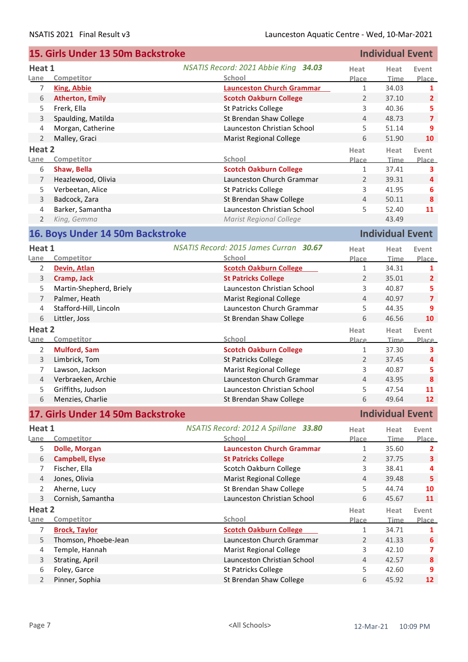|                | 15. Girls Under 13 50m Backstroke |                                        |                | <b>Individual Event</b> |                         |
|----------------|-----------------------------------|----------------------------------------|----------------|-------------------------|-------------------------|
| Heat 1         |                                   | NSATIS Record: 2021 Abbie King 34.03   | Heat           | Heat                    | Event                   |
| Lane           | Competitor                        | School                                 | Place          | <b>Time</b>             | Place                   |
| 7              | <b>King, Abbie</b>                | <b>Launceston Church Grammar</b>       | $\mathbf{1}$   | 34.03                   | 1                       |
| 6              | <b>Atherton, Emily</b>            | <b>Scotch Oakburn College</b>          | $\overline{2}$ | 37.10                   | $\overline{2}$          |
| 5              | Frerk, Ella                       | <b>St Patricks College</b>             | 3              | 40.36                   | 5                       |
| 3              | Spaulding, Matilda                | St Brendan Shaw College                | 4              | 48.73                   | $\overline{7}$          |
| 4              | Morgan, Catherine                 | Launceston Christian School            | 5              | 51.14                   | 9                       |
| $\overline{2}$ | Malley, Graci                     | <b>Marist Regional College</b>         | 6              | 51.90                   | 10                      |
| Heat 2         |                                   |                                        | Heat           | Heat                    | Event                   |
| <u>Lane</u>    | Competitor                        | School                                 | Place          | <b>Time</b>             | Place                   |
| 6              | Shaw, Bella                       | <b>Scotch Oakburn College</b>          | $\mathbf{1}$   | 37.41                   | 3                       |
| $\overline{7}$ | Heazlewood, Olivia                | Launceston Church Grammar              | 2              | 39.31                   | 4                       |
| 5              | Verbeetan, Alice                  | <b>St Patricks College</b>             | 3              | 41.95                   | 6                       |
| 3              | Badcock, Zara                     | St Brendan Shaw College                | $\overline{4}$ | 50.11                   | 8                       |
| 4              | Barker, Samantha                  | Launceston Christian School            | 5              | 52.40                   | 11                      |
| $\overline{2}$ | King, Gemma                       | <b>Marist Regional College</b>         |                | 43.49                   |                         |
|                |                                   |                                        |                |                         |                         |
|                | 16. Boys Under 14 50m Backstroke  |                                        |                | <b>Individual Event</b> |                         |
| Heat 1         |                                   | NSATIS Record: 2015 James Curran 30.67 | Heat           | Heat                    | Event                   |
| Lane           | Competitor                        | School                                 | Place          | <b>Time</b>             | Place                   |
| 2              | Devin, Atlan                      | <b>Scotch Oakburn College</b>          | $\mathbf{1}$   | 34.31                   | 1                       |
| 3              | Cramp, Jack                       | <b>St Patricks College</b>             | 2              | 35.01                   | $\overline{2}$          |
| 5              | Martin-Shepherd, Briely           | Launceston Christian School            | 3              | 40.87                   | 5                       |
| $\overline{7}$ | Palmer, Heath                     | <b>Marist Regional College</b>         | $\overline{4}$ | 40.97                   | $\overline{\mathbf{z}}$ |
| $\overline{4}$ | Stafford-Hill, Lincoln            | Launceston Church Grammar              | 5              | 44.35                   | 9                       |
| 6              | Littler, Joss                     | St Brendan Shaw College                | 6              | 46.56                   | 10                      |
| Heat 2         |                                   |                                        | Heat           | Heat                    | Event                   |
| Lane           | Competitor                        | School                                 | Place          | <b>Time</b>             | Place                   |
| 2              | <b>Mulford, Sam</b>               | <b>Scotch Oakburn College</b>          | $\mathbf{1}$   | 37.30                   | 3                       |
| 3              | Limbrick, Tom                     | St Patricks College                    | $\overline{2}$ | 37.45                   | 4                       |
| 7              | Lawson, Jackson                   | <b>Marist Regional College</b>         | 3              | 40.87                   | 5                       |
| $\overline{4}$ | Verbraeken, Archie                | Launceston Church Grammar              | $\overline{4}$ | 43.95                   | $\boldsymbol{8}$        |
| 5              | Griffiths, Judson                 | Launceston Christian School            | 5              | 47.54                   | 11                      |
| 6              | Menzies, Charlie                  | St Brendan Shaw College                | 6              | 49.64                   | 12 <sup>2</sup>         |
|                | 17. Girls Under 14 50m Backstroke |                                        |                | <b>Individual Event</b> |                         |
| Heat 1         |                                   | NSATIS Record: 2012 A Spillane 33.80   | Heat           | Heat                    | Event                   |
| Lane           | Competitor                        | School                                 | <b>Place</b>   | <b>Time</b>             | <b>Place</b>            |
| 5              | <b>Dolle, Morgan</b>              | <b>Launceston Church Grammar</b>       | 1              | 35.60                   | 2                       |
| 6              | <b>Campbell, Elyse</b>            | <b>St Patricks College</b>             | $\overline{2}$ | 37.75                   | 3                       |
| 7              | Fischer, Ella                     | Scotch Oakburn College                 | 3              | 38.41                   | 4                       |
| $\overline{4}$ | Jones, Olivia                     | <b>Marist Regional College</b>         | $\overline{4}$ | 39.48                   | 5                       |
| $\overline{2}$ | Aherne, Lucy                      | St Brendan Shaw College                | 5              | 44.74                   | 10                      |
| 3              | Cornish, Samantha                 | Launceston Christian School            | 6              | 45.67                   | 11                      |
| Heat 2         |                                   |                                        | Heat           | Heat                    | Event                   |
| Lane           | Competitor                        | School                                 | Place          | <b>Time</b>             | Place                   |
| 7              | <b>Brock, Taylor</b>              | <b>Scotch Oakburn College</b>          | $\mathbf{1}$   | 34.71                   | 1                       |
| 5              | Thomson, Phoebe-Jean              | Launceston Church Grammar              | 2              | 41.33                   | $\boldsymbol{6}$        |
| 4              | Temple, Hannah                    | <b>Marist Regional College</b>         | 3              | 42.10                   | 7                       |
| $\mathsf 3$    | Strating, April                   | Launceston Christian School            | $\overline{4}$ | 42.57                   | ${\bf 8}$               |
| 6              | Foley, Garce                      | <b>St Patricks College</b>             | 5              | 42.60                   | 9                       |
| $\overline{2}$ | Pinner, Sophia                    | St Brendan Shaw College                | 6              | 45.92                   | 12                      |
|                |                                   |                                        |                |                         |                         |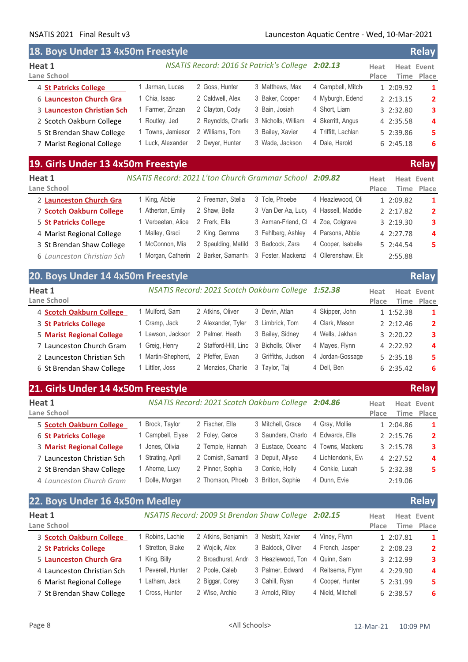r.

### NSATIS 2021 Final Result v3 Launceston Aquatic Centre - Wed, 10-Mar-2021

| 18. Boys Under 13 4x50m Freestyle                  |                 |                     |                                                  |                     |               | <b>Relay</b>                |
|----------------------------------------------------|-----------------|---------------------|--------------------------------------------------|---------------------|---------------|-----------------------------|
| Heat 1<br>Lane School                              |                 |                     | NSATIS Record: 2016 St Patrick's College 2:02.13 |                     | Heat<br>Place | Heat Event<br>Place<br>Time |
| 4 St Patricks College                              | Jarman, Lucas   | 2 Goss, Hunter      | 3 Matthews, Max                                  | 4 Campbell, Mitch   | 1 2:09.92     | 1                           |
| 6 Launceston Church Gra                            | Chia, Isaac     | 2 Caldwell, Alex    | 3 Baker, Cooper                                  | 4 Myburgh, Edend    | 2.2:13.15     | 2                           |
| 3 Launceston Christian Sch                         | Farmer, Zinzan  | 2 Clayton, Cody     | 3 Bain, Josiah                                   | 4 Short. Liam       | 3 2:32.80     | 3                           |
| 2 Scotch Oakburn College                           | Routley, Jed    | 2 Reynolds, Charlie | 3 Nicholls, William                              | 4 Skerritt, Angus   | 4 2:35.58     | 4                           |
| 5 St Brendan Shaw College                          | Towns, Jamiesor | 2 Williams, Tom     | 3 Bailey, Xavier                                 | 4 Triffitt, Lachlan | 5 2:39.86     | 5                           |
| 7 Marist Regional College                          | Luck. Alexander | 2 Dwyer, Hunter     | 3 Wade, Jackson                                  | 4 Dale, Harold      | 6 2:45.18     | 6                           |
| 19. Girls Under 13 4x50m Freestyle<br><b>Relay</b> |                 |                     |                                                  |                     |               |                             |

| Heat 1<br>Lane School        | NSATIS Record: 2021 L'ton Church Grammar School 2:09.82 |                     |                                                  |                    | Heat<br>Place | Heat Event  | Time Place              |
|------------------------------|---------------------------------------------------------|---------------------|--------------------------------------------------|--------------------|---------------|-------------|-------------------------|
| 2 Launceston Church Gra      | 1 King, Abbie                                           | 2 Freeman, Stella   | 3 Tole, Phoebe                                   | 4 Heazlewood, Oli  |               | 1 2:09.82   | 1                       |
| 7 Scotch Oakburn College     | 1 Atherton, Emily                                       | 2 Shaw, Bella       | 3 Van Der Aa, Luc <sub>)</sub> 4 Hassell, Maddie |                    |               | 2 2:17.82   | $\overline{\mathbf{2}}$ |
| <b>5 St Patricks College</b> | 1 Verbeetan, Alice                                      | 2 Frerk, Ella       | 3 Axman-Friend, C 4 Zoe, Colgrave                |                    |               | 3 2:19.30   | 3                       |
| 4 Marist Regional College    | 1 Malley, Graci                                         | 2 King, Gemma       | 3 Fehlberg, Ashley                               | 4 Parsons, Abbie   |               | 4 2:27.78   | $\overline{a}$          |
| 3 St Brendan Shaw College    | 1 McConnon, Mia                                         | 2 Spaulding, Matild | 3 Badcock, Zara                                  | 4 Cooper, Isabelle |               | $5$ 2:44.54 | 5                       |
| 6 Launceston Christian Sch   | 1 Morgan, Catherin                                      |                     | 2 Barker, Samanth 3 Foster, Mackenzi             | 4 Ollerenshaw, Els |               | 2:55.88     |                         |

|                                  | 20. Boys Under 14 4x50m Freestyle |                       |                                                    |                  |                       | Relay                   |  |  |
|----------------------------------|-----------------------------------|-----------------------|----------------------------------------------------|------------------|-----------------------|-------------------------|--|--|
| Heat 1<br>Lane School            |                                   |                       | NSATIS Record: 2021 Scotch Oakburn College 1:52.38 |                  | Heat<br>Place<br>Time | Heat Event<br>Place     |  |  |
| 4 Scotch Oakburn College         | 1 Mulford, Sam                    | 2 Atkins, Oliver      | 3 Devin, Atlan                                     | 4 Skipper, John  | 1 1:52.38             | -1                      |  |  |
| 3 St Patricks College            | 1 Cramp, Jack                     | 2 Alexander, Tyler    | 3 Limbrick, Tom                                    | 4 Clark, Mason   | $2 \cdot 2:12.46$     | $\overline{2}$          |  |  |
| <b>5 Marist Regional College</b> | 1 Lawson, Jackson                 | 2 Palmer, Heath       | 3 Bailey, Sidney                                   | 4 Wells, Jakhan  | 32:20.22              | 3                       |  |  |
| 7 Launceston Church Gram         | 1 Greig, Henry                    | 2 Stafford-Hill, Linc | 3 Bicholls, Oliver                                 | 4 Mayes, Flynn   | 4 2:22.92             | $\overline{\mathbf{4}}$ |  |  |
| 2 Launceston Christian Sch       | 1 Martin-Shepherd,                | 2 Pfeffer, Ewan       | 3 Griffiths, Judson                                | 4 Jordan-Gossage | 52:35.18              | 5.                      |  |  |
| 6 St Brendan Shaw College        | 1 Littler, Joss                   | 2 Menzies, Charlie    | 3 Taylor, Taj                                      | 4 Dell, Ben      | 6 2:35.42             | 6                       |  |  |

|                                  | 21. Girls Under 14 4x50m Freestyle |                                                    |                    |                    |               | <b>Relay</b>             |
|----------------------------------|------------------------------------|----------------------------------------------------|--------------------|--------------------|---------------|--------------------------|
| Heat 1<br>Lane School            |                                    | NSATIS Record: 2021 Scotch Oakburn College 2:04.86 |                    |                    | Heat<br>Place | Heat Event<br>Time Place |
| 5 Scotch Oakburn College         | Brock, Taylor                      | 2 Fischer, Ella                                    | 3 Mitchell, Grace  | 4 Gray, Mollie     | 1 2:04.86     | $\mathbf{1}$             |
| <b>6 St Patricks College</b>     | 1 Campbell, Elyse                  | 2 Foley, Garce                                     | 3 Saunders, Charlo | 4 Edwards, Ella    | 2.2:15.76     | $\overline{2}$           |
| <b>3 Marist Regional College</b> | 1 Jones, Olivia                    | 2 Temple, Hannah                                   | 3 Eustace, Oceanc  | 4 Towns, Macken;   | 32:15.78      | 3                        |
| 7 Launceston Christian Sch       | 1 Strating, April                  | 2 Cornish, Samantl                                 | 3 Depuit, Allyse   | 4 Lichtendonk, Ev. | 4 2:27.52     | 4                        |
| 2 St Brendan Shaw College        | Aherne, Lucy                       | 2 Pinner, Sophia                                   | 3 Conkie, Holly    | 4 Conkie, Lucah    | 5 2:32.38     | 5                        |
| 4 Launceston Church Gram         | 1 Dolle, Morgan                    | 2 Thomson, Phoeb                                   | 3 Britton, Sophie  | 4 Dunn, Evie       | 2:19.06       |                          |

| 22. Boys Under 16 4x50m Medley |                  |                                                     |                   |                   |               | <b>Relay</b>             |
|--------------------------------|------------------|-----------------------------------------------------|-------------------|-------------------|---------------|--------------------------|
| Heat 1<br>Lane School          |                  | NSATIS Record: 2009 St Brendan Shaw College 2:02.15 |                   |                   | Heat<br>Place | Heat Event<br>Time Place |
| 3 Scotch Oakburn College       | Robins, Lachie   | 2 Atkins, Benjamin                                  | 3 Nesbitt, Xavier | 4 Viney, Flynn    | 1 2:07.81     | -1                       |
| 2 St Patricks College          | Stretton, Blake  | 2 Wojcik, Alex                                      | 3 Baldock, Oliver | 4 French, Jasper  | 2 2:08.23     | $\overline{2}$           |
| 5 Launceston Church Gra        | King, Billy      | 2 Broadhurst, Andr                                  | 3 Heazlewood, Ton | 4 Quinn, Sam      | 3 2:12.99     | 3                        |
| 4 Launceston Christian Sch     | Peverell, Hunter | 2 Poole, Caleb                                      | 3 Palmer, Edward  | 4 Reitsema, Flynn | 4 2:29.90     | 4                        |
| 6 Marist Regional College      | Latham, Jack     | 2 Biggar, Corey                                     | 3 Cahill, Ryan    | 4 Cooper, Hunter  | 5 2:31.99     | 5.                       |
| 7 St Brendan Shaw College      | 1 Cross, Hunter  | 2 Wise, Archie                                      | 3 Arnold, Riley   | 4 Nield, Mitchell | 6 2:38.57     | 6                        |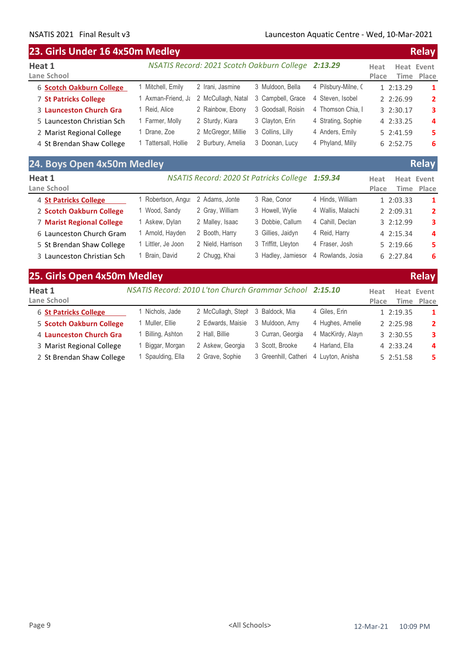#### **23. Girls Under 16 4x50m Medley Relay Heat 1 Lane School Heat Event Time Place Heat Place** *NSATIS Record: 2021 Scotch Oakburn College 2:13.29* 6 **Scotch Oakburn College** 1 Mitchell, Emily 2 Irani, Jasmine 3 Muldoon, Bella 4 Pilsbury-Milne, C 1 2:13.29 1 7 **St Patricks College** 1 Axman-Friend, Jang 2 McCullagh, Natal 3 Campbell, Grace 4 Steven, Isobel 2 2:26.99 2 3 Launceston Church Gra 1 Reid, Alice 2 Rainbow, Ebony 3 Goodsall, Roisin 4 Thomson Chia, 1 3 2:30.17 3 5 Launceston Christian Sch 1 Farmer, Molly 2 Sturdy, Kiara 3 Clayton, Erin 4 Strating, Sophie 4 2:33.25 **4** 2 Marist Regional College 1 Drane, Zoe 2 McGregor, Millie 3 Collins, Lilly 4 Anders, Emily 5 2:41.59 **5** 4 St Brendan Shaw College 1 Tattersall, Hollie 2 Burbury, Amelia 3 Doonan, Lucy 4 Phyland, Milly 6 2:52.75 6 **24. Boys Open 4x50m Medley Relay**

| Z4. DUYS UPEN 4XJUN IVIEUIEV |                  |                   |                                                 |                   |               |            | <b>Neidy</b>   |
|------------------------------|------------------|-------------------|-------------------------------------------------|-------------------|---------------|------------|----------------|
| Heat 1<br>Lane School        |                  |                   | NSATIS Record: 2020 St Patricks College 1:59.34 |                   | Heat<br>Place | Heat Event | Time Place     |
| 4 St Patricks College        | Robertson, Angus | 2 Adams, Jonte    | 3 Rae, Conor                                    | 4 Hinds, William  |               | 1 2:03.33  | $\mathbf{1}$   |
| 2 Scotch Oakburn College     | Wood, Sandy      | 2 Gray, William   | 3 Howell, Wylie                                 | 4 Wallis, Malachi |               | 2 2:09.31  | $\overline{2}$ |
| 7 Marist Regional College    | Askew, Dylan     | 2 Malley, Isaac   | 3 Dobbie, Callum                                | 4 Cahill, Declan  |               | 3 2:12.99  | 3              |
| 6 Launceston Church Gram     | Arnold, Hayden   | 2 Booth, Harry    | 3 Gillies, Jaidyn                               | 4 Reid, Harry     |               | 4 2:15.34  | 4              |
| 5 St Brendan Shaw College    | Littler, Je Joon | 2 Nield, Harrison | 3 Triffitt, Lleyton                             | 4 Fraser, Josh    |               | 52:19.66   | 5.             |
| 3 Launceston Christian Sch   | Brain, David     | 2 Chugg, Khai     | 3 Hadley, Jamiesor                              | 4 Rowlands, Josia |               | 62:27.84   | 6              |
|                              |                  |                   |                                                 |                   |               |            |                |

| 25. Girls Open 4x50m Medley  |                                                         |                    |                      |                   |               |           | <b>Relay</b>             |
|------------------------------|---------------------------------------------------------|--------------------|----------------------|-------------------|---------------|-----------|--------------------------|
| Heat 1<br>Lane School        | NSATIS Record: 2010 L'ton Church Grammar School 2:15.10 |                    |                      |                   | Heat<br>Place |           | Heat Event<br>Time Place |
| <b>6 St Patricks College</b> | Nichols, Jade                                           | 2 McCullagh, Steph | 3 Baldock, Mia       | 4 Giles, Erin     |               | 1 2:19.35 | 1                        |
| 5 Scotch Oakburn College     | 1 Muller, Ellie                                         | 2 Edwards, Maisie  | 3 Muldoon, Amy       | 4 Hughes, Amelie  |               | 2 2:25.98 | $\overline{2}$           |
| 4 Launceston Church Gra      | Billing, Ashton                                         | 2 Hall, Billie     | 3 Curran, Georgia    | 4 MacKirdy, Alayn |               | 3 2:30.55 | 3                        |
| 3 Marist Regional College    | Biggar, Morgan                                          | 2 Askew, Georgia   | 3 Scott, Brooke      | 4 Harland, Ella   |               | 4 2:33.24 | 4                        |
| 2 St Brendan Shaw College    | Spaulding, Ella                                         | 2 Grave, Sophie    | 3 Greenhill, Catheri | 4 Luvton, Anisha  |               | 5 2:51.58 | 5                        |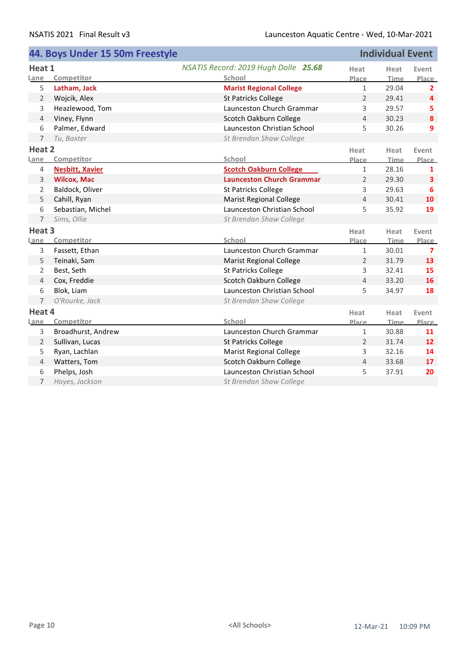|                   | 44. Boys Under 15 50m Freestyle |                                      |                | <b>Individual Event</b> |                   |
|-------------------|---------------------------------|--------------------------------------|----------------|-------------------------|-------------------|
| Heat 1            |                                 | NSATIS Record: 2019 Hugh Dolle 25.68 | Heat           | Heat                    | Event             |
| Lane              | Competitor                      | <b>School</b>                        | Place          | Time                    | Place             |
| 5                 | Latham, Jack                    | <b>Marist Regional College</b>       | $\mathbf{1}$   | 29.04                   | $\overline{2}$    |
| 2                 | Wojcik, Alex                    | <b>St Patricks College</b>           | $\overline{2}$ | 29.41                   | 4                 |
| 3                 | Heazlewood, Tom                 | Launceston Church Grammar            | 3              | 29.57                   | 5                 |
| $\overline{4}$    | Viney, Flynn                    | Scotch Oakburn College               | 4              | 30.23                   | 8                 |
| 6                 | Palmer, Edward                  | Launceston Christian School          | 5              | 30.26                   | 9                 |
| 7                 | Tu, Baxter                      | St Brendan Shaw College              |                |                         |                   |
| Heat 2            |                                 |                                      | Heat           | Heat                    | Event             |
| Lane              | Competitor                      | School                               | Place          | Time                    | Place             |
| 4                 | <b>Nesbitt, Xavier</b>          | <b>Scotch Oakburn College</b>        | $\mathbf{1}$   | 28.16                   | 1                 |
| 3                 | <b>Wilcox, Mac</b>              | <b>Launceston Church Grammar</b>     | $\overline{2}$ | 29.30                   | 3                 |
| $\overline{2}$    | Baldock, Oliver                 | <b>St Patricks College</b>           | 3              | 29.63                   | 6                 |
| 5                 | Cahill, Ryan                    | <b>Marist Regional College</b>       | 4              | 30.41                   | 10                |
| 6                 | Sebastian, Michel               | Launceston Christian School          | 5              | 35.92                   | 19                |
| 7                 | Sims, Ollie                     | St Brendan Shaw College              |                |                         |                   |
| Heat <sub>3</sub> |                                 |                                      | Heat           | Heat                    | Event             |
| Lane              | Competitor                      | School                               | Place          | Time                    | Place             |
| 3                 | Fassett, Ethan                  | Launceston Church Grammar            | $\mathbf{1}$   | 30.01                   | $\overline{7}$    |
| 5                 | Teinaki, Sam                    | <b>Marist Regional College</b>       | $\overline{2}$ | 31.79                   | 13                |
| 2                 | Best, Seth                      | <b>St Patricks College</b>           | 3              | 32.41                   | 15                |
| $\overline{4}$    | Cox, Freddie                    | Scotch Oakburn College               | 4              | 33.20                   | 16                |
| 6                 | Blok, Liam                      | Launceston Christian School          | 5              | 34.97                   | 18                |
| 7                 | O'Rourke, Jack                  | St Brendan Shaw College              |                |                         |                   |
| Heat 4            |                                 |                                      | Heat           | Heat                    | Event             |
| Lane              | Competitor                      | <b>School</b>                        | Place          | Time                    | Place             |
| 3                 | Broadhurst, Andrew              | Launceston Church Grammar            | $\mathbf{1}$   | 30.88                   | 11                |
| 2                 | Sullivan, Lucas                 | <b>St Patricks College</b>           | $\overline{2}$ | 31.74                   | $12 \overline{ }$ |
| 5                 | Ryan, Lachlan                   | <b>Marist Regional College</b>       | 3              | 32.16                   | 14                |
| $\overline{4}$    | Watters, Tom                    | Scotch Oakburn College               | 4              | 33.68                   | 17                |
| 6                 | Phelps, Josh                    | Launceston Christian School          | 5              | 37.91                   | 20                |
| 7                 | Hayes, Jackson                  | St Brendan Shaw College              |                |                         |                   |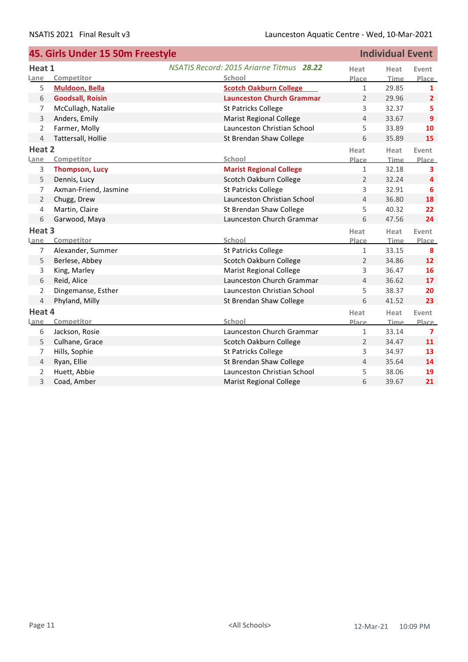|                   | 45. Girls Under 15 50m Freestyle |                                          |                | <b>Individual Event</b> |                |
|-------------------|----------------------------------|------------------------------------------|----------------|-------------------------|----------------|
| Heat 1            |                                  | NSATIS Record: 2015 Ariarne Titmus 28.22 | Heat           | Heat                    | Event          |
| Lane              | Competitor                       | School                                   | Place          | Time                    | <b>Place</b>   |
| 5                 | Muldoon, Bella                   | <b>Scotch Oakburn College</b>            | $\mathbf{1}$   | 29.85                   | 1              |
| 6                 | <b>Goodsall, Roisin</b>          | <b>Launceston Church Grammar</b>         | $\overline{2}$ | 29.96                   | $\overline{2}$ |
| 7                 | McCullagh, Natalie               | <b>St Patricks College</b>               | 3              | 32.37                   | 5              |
| 3                 | Anders, Emily                    | <b>Marist Regional College</b>           | 4              | 33.67                   | 9              |
| $\overline{2}$    | Farmer, Molly                    | Launceston Christian School              | 5              | 33.89                   | 10             |
| $\overline{4}$    | Tattersall, Hollie               | St Brendan Shaw College                  | 6              | 35.89                   | 15             |
| Heat 2            |                                  |                                          | Heat           | Heat                    | Event          |
| Lane              | Competitor                       | School                                   | Place          | Time                    | Place          |
| 3                 | <b>Thompson, Lucy</b>            | <b>Marist Regional College</b>           | $\mathbf{1}$   | 32.18                   | 3              |
| 5                 | Dennis, Lucy                     | Scotch Oakburn College                   | $\overline{2}$ | 32.24                   | $\overline{4}$ |
| 7                 | Axman-Friend, Jasmine            | <b>St Patricks College</b>               | 3              | 32.91                   | 6              |
| $\overline{2}$    | Chugg, Drew                      | Launceston Christian School              | $\overline{4}$ | 36.80                   | 18             |
| 4                 | Martin, Claire                   | St Brendan Shaw College                  | 5              | 40.32                   | 22             |
| 6                 | Garwood, Maya                    | Launceston Church Grammar                | 6              | 47.56                   | 24             |
| Heat <sub>3</sub> |                                  |                                          | Heat           | Heat                    | Event          |
| Lane              | Competitor                       | School                                   | Place          | <b>Time</b>             | <b>Place</b>   |
| 7                 | Alexander, Summer                | St Patricks College                      | $\mathbf{1}$   | 33.15                   | 8              |
| 5                 | Berlese, Abbey                   | Scotch Oakburn College                   | $\overline{2}$ | 34.86                   | 12             |
| 3                 | King, Marley                     | <b>Marist Regional College</b>           | 3              | 36.47                   | 16             |
| 6                 | Reid, Alice                      | Launceston Church Grammar                | 4              | 36.62                   | 17             |
| $\overline{2}$    | Dingemanse, Esther               | Launceston Christian School              | 5              | 38.37                   | 20             |
| $\overline{4}$    | Phyland, Milly                   | St Brendan Shaw College                  | 6              | 41.52                   | 23             |
| Heat 4            |                                  |                                          | Heat           | Heat                    | Event          |
| Lane              | Competitor                       | School                                   | Place          | <b>Time</b>             | <b>Place</b>   |
| 6                 | Jackson, Rosie                   | Launceston Church Grammar                | $\mathbf{1}$   | 33.14                   | 7              |
| 5                 | Culhane, Grace                   | Scotch Oakburn College                   | $\overline{2}$ | 34.47                   | 11             |
| 7                 | Hills, Sophie                    | St Patricks College                      | 3              | 34.97                   | 13             |
| $\overline{4}$    | Ryan, Ellie                      | St Brendan Shaw College                  | $\overline{4}$ | 35.64                   | 14             |
| 2                 | Huett, Abbie                     | Launceston Christian School              | 5              | 38.06                   | 19             |
| 3                 | Coad, Amber                      | <b>Marist Regional College</b>           | 6              | 39.67                   | 21             |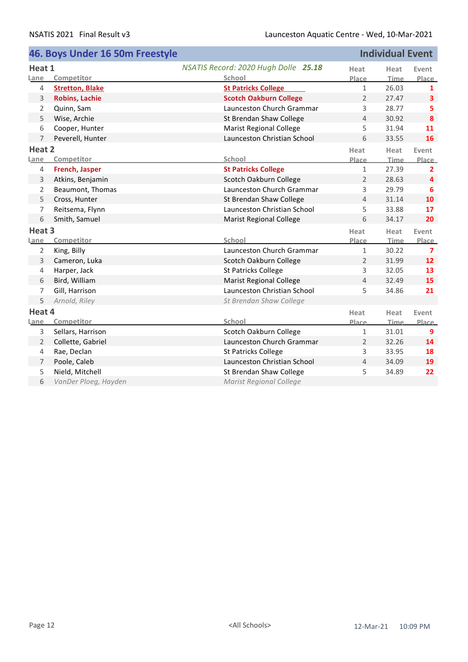|                   | 46. Boys Under 16 50m Freestyle |                                      |                | <b>Individual Event</b> |                         |
|-------------------|---------------------------------|--------------------------------------|----------------|-------------------------|-------------------------|
| Heat 1            |                                 | NSATIS Record: 2020 Hugh Dolle 25.18 | Heat           | Heat                    | Event                   |
| Lane              | Competitor                      | School                               | Place          | Time                    | Place                   |
| 4                 | <b>Stretton, Blake</b>          | <b>St Patricks College</b>           | $\mathbf{1}$   | 26.03                   | 1                       |
| 3                 | <b>Robins, Lachie</b>           | <b>Scotch Oakburn College</b>        | 2              | 27.47                   | $\overline{\mathbf{3}}$ |
| 2                 | Quinn, Sam                      | Launceston Church Grammar            | 3              | 28.77                   | 5                       |
| 5                 | Wise, Archie                    | St Brendan Shaw College              | $\overline{4}$ | 30.92                   | 8                       |
| 6                 | Cooper, Hunter                  | <b>Marist Regional College</b>       | 5              | 31.94                   | 11                      |
| 7                 | Peverell, Hunter                | Launceston Christian School          | 6              | 33.55                   | 16                      |
| Heat 2            |                                 |                                      | Heat           | Heat                    | Event                   |
| Lane              | Competitor                      | School                               | <b>Place</b>   | <b>Time</b>             | <b>Place</b>            |
| 4                 | French, Jasper                  | <b>St Patricks College</b>           | $\mathbf{1}$   | 27.39                   | $\overline{2}$          |
| 3                 | Atkins, Benjamin                | Scotch Oakburn College               | 2              | 28.63                   | 4                       |
| 2                 | Beaumont, Thomas                | Launceston Church Grammar            | 3              | 29.79                   | 6                       |
| 5                 | Cross, Hunter                   | St Brendan Shaw College              | $\overline{4}$ | 31.14                   | 10                      |
| 7                 | Reitsema, Flynn                 | Launceston Christian School          | 5              | 33.88                   | 17                      |
| 6                 | Smith, Samuel                   | <b>Marist Regional College</b>       | 6              | 34.17                   | 20                      |
| Heat <sub>3</sub> |                                 |                                      | Heat           | Heat                    | Event                   |
| Lane              | Competitor                      | School                               | Place          | <b>Time</b>             | Place                   |
| $\overline{2}$    | King, Billy                     | Launceston Church Grammar            | $1\,$          | 30.22                   | $\overline{\mathbf{z}}$ |
| 3                 | Cameron, Luka                   | Scotch Oakburn College               | $\overline{2}$ | 31.99                   | 12                      |
| 4                 | Harper, Jack                    | St Patricks College                  | 3              | 32.05                   | 13                      |
| 6                 | Bird, William                   | <b>Marist Regional College</b>       | $\overline{4}$ | 32.49                   | 15                      |
| 7                 | Gill, Harrison                  | Launceston Christian School          | 5              | 34.86                   | 21                      |
| 5                 | Arnold, Riley                   | St Brendan Shaw College              |                |                         |                         |
| Heat 4            |                                 |                                      | Heat           | Heat                    | Event                   |
| Lane              | Competitor                      | School                               | Place          | Time                    | <b>Place</b>            |
| 3                 | Sellars, Harrison               | Scotch Oakburn College               | $1\,$          | 31.01                   | 9                       |
| 2                 | Collette, Gabriel               | Launceston Church Grammar            | 2              | 32.26                   | 14                      |
| 4                 | Rae, Declan                     | St Patricks College                  | 3              | 33.95                   | 18                      |
| 7                 | Poole, Caleb                    | Launceston Christian School          | $\overline{4}$ | 34.09                   | 19                      |
| 5                 | Nield, Mitchell                 | St Brendan Shaw College              | 5              | 34.89                   | 22                      |
| 6                 | VanDer Ploeg, Hayden            | <b>Marist Regional College</b>       |                |                         |                         |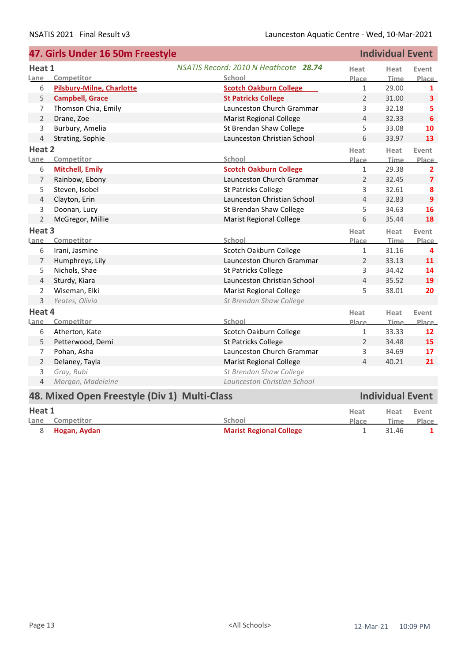|                | 47. Girls Under 16 50m Freestyle             |                                       |                | <b>Individual Event</b> |                         |
|----------------|----------------------------------------------|---------------------------------------|----------------|-------------------------|-------------------------|
| Heat 1         |                                              | NSATIS Record: 2010 N Heathcote 28.74 | Heat           | Heat                    | Event                   |
| Lane           | Competitor                                   | School                                | Place          | <b>Time</b>             | Place                   |
| 6              | <b>Pilsbury-Milne, Charlotte</b>             | <b>Scotch Oakburn College</b>         | $\mathbf{1}$   | 29.00                   | $\mathbf{1}$            |
| 5              | <b>Campbell, Grace</b>                       | <b>St Patricks College</b>            | $\overline{2}$ | 31.00                   | $\overline{\mathbf{3}}$ |
| $\overline{7}$ | Thomson Chia, Emily                          | Launceston Church Grammar             | 3              | 32.18                   | 5                       |
| $\overline{2}$ | Drane, Zoe                                   | <b>Marist Regional College</b>        | $\overline{4}$ | 32.33                   | $6\phantom{1}6$         |
| 3              | Burbury, Amelia                              | St Brendan Shaw College               | 5              | 33.08                   | 10                      |
| $\overline{4}$ | Strating, Sophie                             | Launceston Christian School           | 6              | 33.97                   | 13                      |
| Heat 2         |                                              |                                       | Heat           | Heat                    | Event                   |
| Lane           | Competitor                                   | School                                | Place          | <b>Time</b>             | Place                   |
| 6              | <b>Mitchell, Emily</b>                       | <b>Scotch Oakburn College</b>         | $\mathbf{1}$   | 29.38                   | $\mathbf{2}$            |
| 7              | Rainbow, Ebony                               | Launceston Church Grammar             | $\overline{2}$ | 32.45                   | $\overline{7}$          |
| 5              | Steven, Isobel                               | St Patricks College                   | 3              | 32.61                   | 8                       |
| 4              | Clayton, Erin                                | Launceston Christian School           | $\overline{4}$ | 32.83                   | $\overline{9}$          |
| 3              | Doonan, Lucy                                 | St Brendan Shaw College               | 5              | 34.63                   | 16                      |
| $\overline{2}$ | McGregor, Millie                             | <b>Marist Regional College</b>        | 6              | 35.44                   | 18                      |
| Heat 3         |                                              |                                       | Heat           | Heat                    | Event                   |
| Lane           | Competitor                                   | School                                | Place          | Time                    | Place                   |
| 6              | Irani, Jasmine                               | Scotch Oakburn College                | $\mathbf{1}$   | 31.16                   | 4                       |
| 7              | Humphreys, Lily                              | Launceston Church Grammar             | $\overline{2}$ | 33.13                   | 11                      |
| 5              | Nichols, Shae                                | St Patricks College                   | 3              | 34.42                   | 14                      |
| 4              | Sturdy, Kiara                                | Launceston Christian School           | $\overline{4}$ | 35.52                   | 19                      |
| $\overline{2}$ | Wiseman, Elki                                | <b>Marist Regional College</b>        | 5              | 38.01                   | 20                      |
| 3              | Yeates, Olivia                               | St Brendan Shaw College               |                |                         |                         |
| Heat 4         |                                              |                                       | Heat           | Heat                    | Event                   |
| Lane           | Competitor                                   | School                                | Place          | <b>Time</b>             | Place                   |
| 6              | Atherton, Kate                               | Scotch Oakburn College                | $\mathbf{1}$   | 33.33                   | 12                      |
| 5              | Petterwood, Demi                             | <b>St Patricks College</b>            | $\overline{2}$ | 34.48                   | 15                      |
| $\overline{7}$ | Pohan, Asha                                  | Launceston Church Grammar             | 3              | 34.69                   | 17                      |
| $\overline{2}$ | Delaney, Tayla                               | <b>Marist Regional College</b>        | $\overline{4}$ | 40.21                   | 21                      |
| 3              | Gray, Rubi                                   | St Brendan Shaw College               |                |                         |                         |
| $\overline{4}$ | Morgan, Madeleine                            | Launceston Christian School           |                |                         |                         |
|                | 48. Mixed Open Freestyle (Div 1) Multi-Class |                                       |                | <b>Individual Event</b> |                         |
| Heat 1         |                                              |                                       | Heat           | Heat                    | Event                   |
| Lane           | Competitor                                   | School                                | <b>Place</b>   | <b>Time</b>             | Place                   |

8 **Hogan, Aydan Marist Regional College** 1 31.46 **1**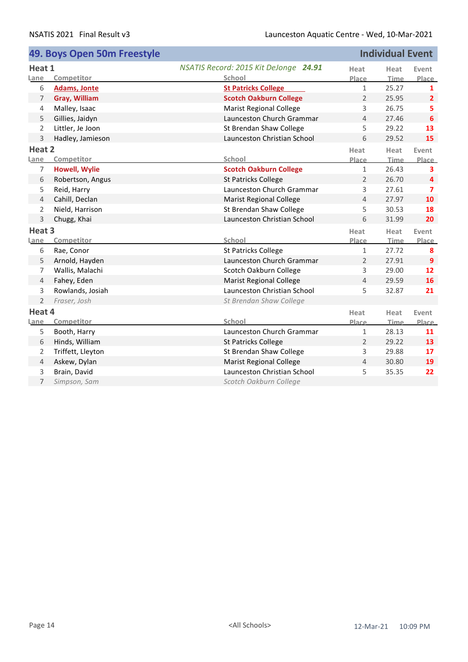|                | 49. Boys Open 50m Freestyle |                                       |                | <b>Individual Event</b> |                         |
|----------------|-----------------------------|---------------------------------------|----------------|-------------------------|-------------------------|
| Heat 1         |                             | NSATIS Record: 2015 Kit DeJonge 24.91 | Heat           | Heat                    | Event                   |
| Lane           | Competitor                  | School                                | Place          | Time                    | Place                   |
| 6              | <b>Adams, Jonte</b>         | <b>St Patricks College</b>            | $\mathbf{1}$   | 25.27                   | $\mathbf{1}$            |
| 7              | <b>Gray, William</b>        | <b>Scotch Oakburn College</b>         | $\overline{2}$ | 25.95                   | $\overline{2}$          |
| 4              | Malley, Isaac               | <b>Marist Regional College</b>        | 3              | 26.75                   | 5                       |
| 5              | Gillies, Jaidyn             | Launceston Church Grammar             | 4              | 27.46                   | 6                       |
| $\overline{2}$ | Littler, Je Joon            | St Brendan Shaw College               | 5              | 29.22                   | 13                      |
| 3              | Hadley, Jamieson            | Launceston Christian School           | 6              | 29.52                   | 15                      |
| Heat 2         |                             |                                       | Heat           | Heat                    | Event                   |
| Lane           | Competitor                  | School                                | Place          | Time                    | Place                   |
| 7              | <b>Howell, Wylie</b>        | <b>Scotch Oakburn College</b>         | $\mathbf{1}$   | 26.43                   | 3                       |
| 6              | Robertson, Angus            | <b>St Patricks College</b>            | $\overline{2}$ | 26.70                   | 4                       |
| 5              | Reid, Harry                 | Launceston Church Grammar             | 3              | 27.61                   | $\overline{\mathbf{z}}$ |
| 4              | Cahill, Declan              | <b>Marist Regional College</b>        | 4              | 27.97                   | 10                      |
| $\overline{2}$ | Nield, Harrison             | St Brendan Shaw College               | 5              | 30.53                   | 18                      |
| 3              | Chugg, Khai                 | Launceston Christian School           | 6              | 31.99                   | 20                      |
| Heat 3         |                             |                                       | Heat           | Heat                    | Event                   |
| Lane           | Competitor                  | School                                | Place          | Time                    | Place                   |
| 6              | Rae, Conor                  | St Patricks College                   | 1              | 27.72                   | 8                       |
| 5              | Arnold, Hayden              | Launceston Church Grammar             | $\overline{2}$ | 27.91                   | $\overline{9}$          |
| 7              | Wallis, Malachi             | Scotch Oakburn College                | 3              | 29.00                   | 12                      |
| 4              | Fahey, Eden                 | <b>Marist Regional College</b>        | 4              | 29.59                   | 16                      |
| 3              | Rowlands, Josiah            | Launceston Christian School           | 5              | 32.87                   | 21                      |
| $\overline{2}$ | Fraser, Josh                | St Brendan Shaw College               |                |                         |                         |
| Heat 4         |                             |                                       | Heat           | Heat                    | Event                   |
| Lane           | Competitor                  | School                                | Place          | Time                    | Place                   |
| 5              | Booth, Harry                | Launceston Church Grammar             | $\mathbf{1}$   | 28.13                   | 11                      |
| 6              | Hinds, William              | <b>St Patricks College</b>            | $\overline{2}$ | 29.22                   | 13                      |
| 2              | Triffett, Lleyton           | St Brendan Shaw College               | 3              | 29.88                   | 17                      |
| 4              | Askew, Dylan                | <b>Marist Regional College</b>        | 4              | 30.80                   | 19                      |
| 3              | Brain, David                | Launceston Christian School           | 5              | 35.35                   | 22                      |
| $\overline{7}$ | Simpson, Sam                | Scotch Oakburn College                |                |                         |                         |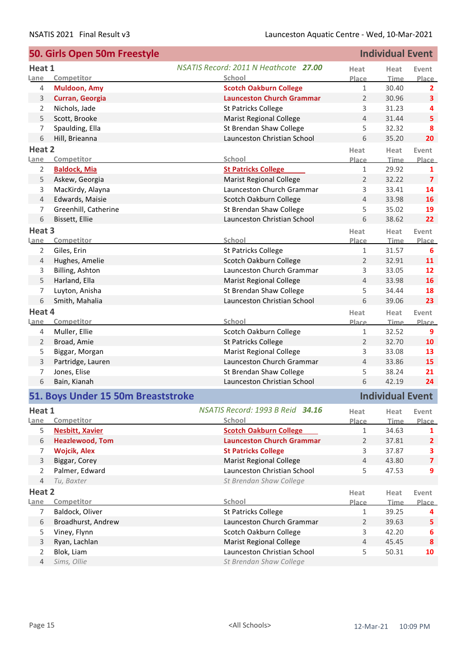|                     | 50. Girls Open 50m Freestyle       |                                                               |                     | <b>Individual Event</b> |                         |
|---------------------|------------------------------------|---------------------------------------------------------------|---------------------|-------------------------|-------------------------|
| Heat 1              |                                    | NSATIS Record: 2011 N Heathcote 27.00                         | Heat                | Heat                    | Event                   |
| Lane                | Competitor                         | School                                                        | Place               | <b>Time</b>             | Place                   |
| $\overline{4}$      | <b>Muldoon, Amy</b>                | <b>Scotch Oakburn College</b>                                 | $\mathbf{1}$        | 30.40                   | $\overline{2}$          |
| 3                   | Curran, Georgia                    | <b>Launceston Church Grammar</b>                              | $\overline{2}$      | 30.96                   | $\overline{\mathbf{3}}$ |
| 2                   | Nichols, Jade                      | St Patricks College                                           | 3                   | 31.23                   | 4                       |
| 5                   | Scott, Brooke                      | <b>Marist Regional College</b>                                | 4                   | 31.44                   | 5                       |
| 7                   | Spaulding, Ella                    | St Brendan Shaw College                                       | 5                   | 32.32                   | 8                       |
| 6                   | Hill, Brieanna                     | Launceston Christian School                                   | 6                   | 35.20                   | 20                      |
| Heat 2              |                                    |                                                               | Heat                | Heat                    | Event                   |
| Lane                | Competitor                         | School                                                        | Place               | <b>Time</b>             | Place                   |
| 2                   | <b>Baldock, Mia</b>                | <b>St Patricks College</b>                                    | $\,1\,$             | 29.92                   | 1                       |
| 5                   | Askew, Georgia                     | <b>Marist Regional College</b>                                | $\overline{2}$      | 32.22                   | $\overline{\mathbf{z}}$ |
| 3                   | MacKirdy, Alayna                   | Launceston Church Grammar                                     | 3                   | 33.41                   | 14                      |
| 4                   | Edwards, Maisie                    | Scotch Oakburn College                                        | 4                   | 33.98                   | 16                      |
| 7                   | Greenhill, Catherine               | St Brendan Shaw College                                       | 5                   | 35.02                   | 19                      |
| 6                   | Bissett, Ellie                     | Launceston Christian School                                   | 6                   | 38.62                   | 22                      |
| Heat 3              |                                    |                                                               | Heat                | Heat                    | Event                   |
| Lane                | Competitor                         | School                                                        | Place               | Time                    | Place                   |
| 2                   | Giles, Erin                        | <b>St Patricks College</b>                                    | $\mathbf 1$         | 31.57                   | 6                       |
| 4                   | Hughes, Amelie                     | Scotch Oakburn College                                        | 2                   | 32.91                   | 11                      |
| 3                   | Billing, Ashton                    | Launceston Church Grammar                                     | 3                   | 33.05                   | 12                      |
| 5                   | Harland, Ella                      | <b>Marist Regional College</b>                                | 4                   | 33.98                   | 16                      |
| 7                   | Luyton, Anisha                     | St Brendan Shaw College                                       | 5                   | 34.44                   | 18                      |
| 6                   | Smith, Mahalia                     | Launceston Christian School                                   | 6                   | 39.06                   | 23                      |
| Heat 4              |                                    |                                                               | Heat                | Heat                    | Event                   |
| <u>Lane</u>         | Competitor                         | School                                                        | <u>Place</u>        | <b>Time</b>             | Place                   |
| 4                   | Muller, Ellie                      | Scotch Oakburn College                                        | $\mathbf{1}$        | 32.52                   | 9                       |
| $\overline{2}$      | Broad, Amie                        | <b>St Patricks College</b>                                    | $\overline{2}$      | 32.70                   | 10                      |
| 5                   | Biggar, Morgan                     | <b>Marist Regional College</b>                                | 3                   | 33.08                   | 13                      |
| 3                   | Partridge, Lauren                  | Launceston Church Grammar                                     | $\overline{4}$      | 33.86                   | 15                      |
| 7                   | Jones, Elise                       | St Brendan Shaw College                                       | 5                   | 38.24                   | 21                      |
| 6                   | Bain, Kianah                       | Launceston Christian School                                   | 6                   | 42.19                   | 24                      |
|                     | 51. Boys Under 15 50m Breaststroke |                                                               |                     | <b>Individual Event</b> |                         |
| Heat 1              |                                    | NSATIS Record: 1993 B Reid 34.16                              | Heat                | Heat                    | Event                   |
| Lane                | Competitor                         | School                                                        | Place               | <b>Time</b>             | <u>Place</u>            |
| 5                   | <b>Nesbitt, Xavier</b>             | <b>Scotch Oakburn College</b>                                 | $\mathbf{1}$        | 34.63                   | 1                       |
|                     |                                    |                                                               |                     |                         | $\overline{2}$          |
|                     |                                    |                                                               |                     |                         |                         |
| 6                   | <b>Heazlewood, Tom</b>             | <b>Launceston Church Grammar</b>                              | $\overline{2}$      | 37.81                   |                         |
| 7                   | <b>Wojcik, Alex</b>                | <b>St Patricks College</b>                                    | 3                   | 37.87                   | 3                       |
| 3                   | Biggar, Corey                      | <b>Marist Regional College</b>                                | $\overline{4}$      | 43.80                   | $\overline{\mathbf{z}}$ |
| $\overline{2}$      | Palmer, Edward                     | Launceston Christian School                                   | 5                   | 47.53                   | 9                       |
| $\overline{4}$      | Tu, Baxter                         | St Brendan Shaw College                                       |                     |                         |                         |
| Heat 2              |                                    |                                                               | Heat                | Heat                    | Event                   |
| Lane                | Competitor                         | School                                                        | Place               | <b>Time</b>             |                         |
| $\overline{7}$      | Baldock, Oliver                    | <b>St Patricks College</b>                                    | $\mathbf{1}$        | 39.25                   | 4                       |
| 6                   | Broadhurst, Andrew                 | Launceston Church Grammar                                     | $\overline{2}$      | 39.63                   | 5                       |
| 5                   | Viney, Flynn                       | Scotch Oakburn College                                        | 3<br>$\overline{4}$ | 42.20                   | 6<br>8                  |
| 3<br>$\overline{2}$ | Ryan, Lachlan<br>Blok, Liam        | <b>Marist Regional College</b><br>Launceston Christian School | 5                   | 45.45<br>50.31          | <b>Place</b><br>10      |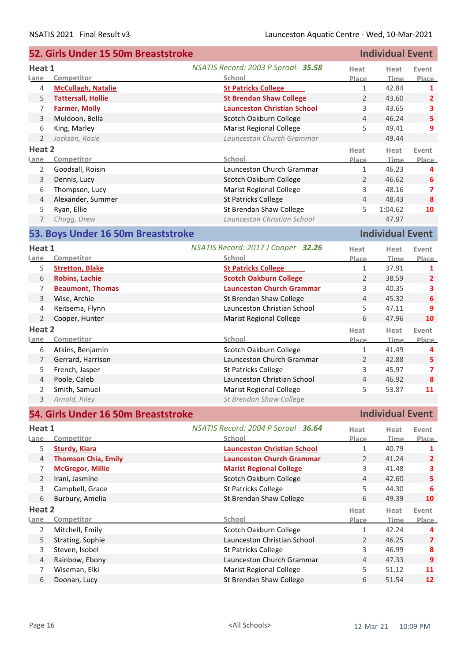|                | 52. Girls Under 15 50m Breaststroke |                                    |                | <b>Individual Event</b> |                         |
|----------------|-------------------------------------|------------------------------------|----------------|-------------------------|-------------------------|
| Heat 1         |                                     | NSATIS Record: 2003 P Sproal 35.58 | Heat           | Heat                    | Event                   |
| Lane           | Competitor                          | School                             | Place          | <b>Time</b>             | Place                   |
| 4              | <b>McCullagh, Natalie</b>           | <b>St Patricks College</b>         | $\mathbf{1}$   | 42.84                   | 1                       |
| 5              | <b>Tattersall, Hollie</b>           | <b>St Brendan Shaw College</b>     | $\overline{2}$ | 43.60                   | $\overline{2}$          |
| 7              | <b>Farmer, Molly</b>                | <b>Launceston Christian School</b> | 3              | 43.65                   | 3                       |
| 3              | Muldoon, Bella                      | Scotch Oakburn College             | $\overline{4}$ | 46.24                   | $\overline{\mathbf{5}}$ |
| 6              | King, Marley                        | <b>Marist Regional College</b>     | 5              | 49.41                   | 9                       |
| $\overline{2}$ | Jackson, Rosie                      | Launceston Church Grammar          |                | 49.44                   |                         |
| Heat 2         |                                     |                                    | Heat           | Heat                    | Event                   |
| Lane           | Competitor                          | School                             | Place          | <b>Time</b>             | <b>Place</b>            |
| $\overline{2}$ | Goodsall, Roisin                    | Launceston Church Grammar          | $\mathbf{1}$   | 46.23                   | 4                       |
| 3              | Dennis, Lucy                        | Scotch Oakburn College             | $\overline{2}$ | 46.62                   | 6                       |
| 6              | Thompson, Lucy                      | <b>Marist Regional College</b>     | 3              | 48.16                   | $\overline{ }$          |
| 4              | Alexander, Summer                   | <b>St Patricks College</b>         | $\overline{4}$ | 48.43                   | 8                       |
| 5              | Ryan, Ellie                         | St Brendan Shaw College            | 5              | 1:04.62                 | 10                      |
| $\overline{7}$ | Chugg, Drew                         | Launceston Christian School        |                | 47.97                   |                         |
|                |                                     |                                    |                |                         |                         |
|                | 53. Boys Under 16 50m Breaststroke  |                                    |                | <b>Individual Event</b> |                         |
| Heat 1         |                                     | NSATIS Record: 2017 J Cooper 32.26 | Heat           | Heat                    | Event                   |
| Lane           | Competitor                          | School                             | Place          | Time                    | Place                   |
| 5              | <b>Stretton, Blake</b>              | <b>St Patricks College</b>         | $\mathbf{1}$   | 37.91                   | 1                       |
| 6              | <b>Robins, Lachie</b>               | <b>Scotch Oakburn College</b>      | 2              | 38.59                   | $\overline{2}$          |
| 7              | <b>Beaumont, Thomas</b>             | <b>Launceston Church Grammar</b>   | 3              | 40.35                   | 3                       |
| $\mathsf{3}$   | Wise, Archie                        | St Brendan Shaw College            | 4              | 45.32                   | 6                       |
| 4              | Reitsema, Flynn                     | Launceston Christian School        | 5              | 47.11                   | 9                       |
| $\overline{2}$ | Cooper, Hunter                      | Marist Regional College            | 6              | 47.96                   | 10                      |
| Heat 2         |                                     |                                    | Heat           | Heat                    | Event                   |
| Lane           | Competitor                          | School                             | Place          | <b>Time</b>             | Place                   |
| 6              | Atkins, Benjamin                    | Scotch Oakburn College             | $\mathbf{1}$   | 41.49                   | 4                       |
| $\overline{7}$ | Gerrard, Harrison                   | Launceston Church Grammar          | $\overline{2}$ | 42.88                   | 5                       |
| 5              | French, Jasper                      | <b>St Patricks College</b>         | 3              | 45.97                   | $\overline{\mathbf{z}}$ |
| $\overline{4}$ | Poole, Caleb                        | Launceston Christian School        | 4              | 46.92                   | 8                       |
| 2              | Smith, Samuel                       | <b>Marist Regional College</b>     | 5              | 53.87                   | 11                      |
| $\overline{3}$ | Arnold, Riley                       | St Brendan Shaw College            |                |                         |                         |
|                |                                     |                                    |                |                         |                         |
|                | 54. Girls Under 16 50m Breaststroke |                                    |                | <b>Individual Event</b> |                         |
| Heat 1         |                                     | NSATIS Record: 2004 P Sproal 36.64 | Heat           | Heat                    | Event                   |
| Lane           | Competitor                          | School                             | Place          | <b>Time</b>             | Place                   |
| 5              | <b>Sturdy, Kiara</b>                | <b>Launceston Christian School</b> | $\mathbf{1}$   | 40.79                   | 1                       |
| $\overline{4}$ | <b>Thomson Chia, Emily</b>          | <b>Launceston Church Grammar</b>   | 2              | 41.24                   | $\overline{2}$          |
| 7              | <b>McGregor, Millie</b>             | <b>Marist Regional College</b>     | 3              | 41.48                   | 3                       |
| $\overline{2}$ | Irani, Jasmine                      | Scotch Oakburn College             | 4              | 42.60                   | 5.                      |
| 3              | Campbell, Grace                     | <b>St Patricks College</b>         | 5              | 44.30                   | 6                       |
| 6              | Burbury, Amelia                     | St Brendan Shaw College            | 6              | 49.39                   | 10                      |
| Heat 2         |                                     |                                    | Heat           | Heat                    | Event                   |
| Lane           | Competitor                          | School                             | Place          | <b>Time</b>             | Place                   |
| $\overline{2}$ | Mitchell, Emily                     | Scotch Oakburn College             | $\mathbf{1}$   | 42.24                   | 4                       |
| 5              | Strating, Sophie                    | Launceston Christian School        | $\overline{2}$ | 46.25                   | $\overline{7}$          |
| 3              | Steven, Isobel                      | St Patricks College                | 3              | 46.99                   | 8                       |
| $\overline{4}$ | Rainbow, Ebony                      | Launceston Church Grammar          | $\overline{4}$ | 47.33                   | $\overline{9}$          |
| 7              | Wiseman, Elki                       | <b>Marist Regional College</b>     | 5              | 51.12                   | 11                      |
| 6              | Doonan, Lucy                        | St Brendan Shaw College            | 6              | 51.54                   | 12                      |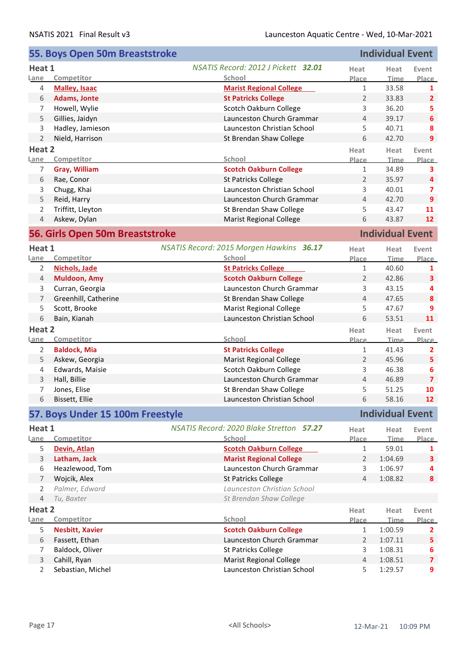|                | 55. Boys Open 50m Breaststroke   |                                                           |                      | <b>Individual Event</b> |                         |
|----------------|----------------------------------|-----------------------------------------------------------|----------------------|-------------------------|-------------------------|
| Heat 1         |                                  | NSATIS Record: 2012 J Pickett 32.01                       | Heat                 | Heat                    | Event                   |
| Lane           | Competitor                       | School                                                    | Place                | <b>Time</b>             | Place                   |
| 4              | <b>Malley, Isaac</b>             | <b>Marist Regional College</b>                            | 1                    | 33.58                   | 1                       |
| 6              | <b>Adams, Jonte</b>              | <b>St Patricks College</b>                                | $\overline{2}$       | 33.83                   | $\overline{2}$          |
| 7              | Howell, Wylie                    | Scotch Oakburn College                                    | 3                    | 36.20                   | 5                       |
| 5              | Gillies, Jaidyn                  | Launceston Church Grammar                                 | 4                    | 39.17                   | 6                       |
| 3              | Hadley, Jamieson                 | Launceston Christian School                               | 5                    | 40.71                   | 8                       |
| $\overline{2}$ | Nield, Harrison                  | St Brendan Shaw College                                   | 6                    | 42.70                   | 9                       |
| Heat 2         |                                  |                                                           | Heat                 | Heat                    | Event                   |
| Lane           | Competitor                       | School                                                    | Place                | <b>Time</b>             | Place                   |
| 7              | Gray, William                    | <b>Scotch Oakburn College</b>                             | 1                    | 34.89                   | 3                       |
| 6              | Rae, Conor                       | <b>St Patricks College</b>                                | $\overline{2}$       | 35.97                   | 4                       |
| 3              | Chugg, Khai                      | Launceston Christian School                               | 3                    | 40.01                   | $\overline{ }$          |
| 5              | Reid, Harry                      | Launceston Church Grammar                                 | $\overline{4}$       | 42.70                   | 9                       |
| 2              | Triffitt, Lleyton                | St Brendan Shaw College                                   | 5                    | 43.47                   | 11                      |
| 4              | Askew, Dylan                     | <b>Marist Regional College</b>                            | 6                    | 43.87                   | 12                      |
|                | 56. Girls Open 50m Breaststroke  |                                                           |                      | <b>Individual Event</b> |                         |
| Heat 1         |                                  | NSATIS Record: 2015 Morgen Hawkins 36.17                  | Heat                 | Heat                    | Event                   |
| Lane           | Competitor                       | School                                                    | Place                | <b>Time</b>             | Place                   |
| 2              | Nichols, Jade                    | <b>St Patricks College</b>                                | $\mathbf{1}$         | 40.60                   | 1                       |
| $\overline{4}$ | <b>Muldoon, Amy</b>              | <b>Scotch Oakburn College</b>                             | 2                    | 42.86                   | 3                       |
| 3              | Curran, Georgia                  | Launceston Church Grammar                                 | 3                    | 43.15                   | 4                       |
| $\overline{7}$ | Greenhill, Catherine             | St Brendan Shaw College                                   | $\overline{4}$       | 47.65                   | $\boldsymbol{8}$        |
| 5              | Scott, Brooke                    | <b>Marist Regional College</b>                            | 5                    | 47.67                   | 9                       |
| 6              | Bain, Kianah                     | Launceston Christian School                               | 6                    | 53.51                   | 11                      |
| Heat 2         |                                  |                                                           | Heat                 | Heat                    | Event                   |
| <u>Lane</u>    | Competitor                       | School                                                    | Place                | <b>Time</b>             | Place                   |
| $\overline{2}$ | <b>Baldock, Mia</b>              | <b>St Patricks College</b>                                | 1                    | 41.43                   | $\mathbf{2}$            |
| 5              | Askew, Georgia                   | <b>Marist Regional College</b>                            | 2                    | 45.96                   | 5                       |
| 4              | Edwards, Maisie                  | Scotch Oakburn College                                    | 3                    | 46.38                   | 6                       |
| 3              | Hall, Billie                     | Launceston Church Grammar                                 | $\overline{4}$       | 46.89                   | $\overline{\mathbf{z}}$ |
| 7              | Jones, Elise                     | St Brendan Shaw College                                   | 5                    | 51.25                   | 10                      |
| 6              | Bissett, Ellie                   | Launceston Christian School                               | 6                    | 58.16                   | 12                      |
|                | 57. Boys Under 15 100m Freestyle |                                                           |                      | <b>Individual Event</b> |                         |
|                |                                  |                                                           |                      |                         |                         |
| Heat 1<br>Lane | Competitor                       | <b>NSATIS Record: 2020 Blake Stretton 57.27</b><br>School | Heat<br><b>Place</b> | Heat<br><b>Time</b>     | Event<br><b>Place</b>   |
| 5              | Devin, Atlan                     | <b>Scotch Oakburn College</b>                             | $\mathbf{1}$         | 59.01                   | 1                       |
| 3              | Latham, Jack                     | <b>Marist Regional College</b>                            | $\overline{2}$       | 1:04.69                 | $\overline{\mathbf{3}}$ |
| 6              | Heazlewood, Tom                  | Launceston Church Grammar                                 | 3                    | 1:06.97                 | 4                       |
| $\overline{7}$ | Wojcik, Alex                     | <b>St Patricks College</b>                                | $\overline{4}$       | 1:08.82                 | 8                       |
| $\overline{2}$ | Palmer, Edward                   | Launceston Christian School                               |                      |                         |                         |
| $\overline{4}$ | Tu, Baxter                       | St Brendan Shaw College                                   |                      |                         |                         |
| Heat 2         |                                  |                                                           |                      |                         |                         |
| Lane           | Competitor                       | School                                                    | Heat<br>Place        | Heat<br><b>Time</b>     | Event<br>Place          |
| 5              | <b>Nesbitt, Xavier</b>           | <b>Scotch Oakburn College</b>                             | 1                    | 1:00.59                 | $\mathbf{2}$            |
| 6              | Fassett, Ethan                   | Launceston Church Grammar                                 | 2                    | 1:07.11                 | 5                       |
| 7              | Baldock, Oliver                  | St Patricks College                                       | 3                    | 1:08.31                 | 6                       |
| $\mathbf{3}$   | Cahill, Ryan                     | <b>Marist Regional College</b>                            | $\overline{4}$       | 1:08.51                 | $\overline{\mathbf{z}}$ |
| 2              | Sebastian, Michel                | Launceston Christian School                               | 5                    | 1:29.57                 | 9                       |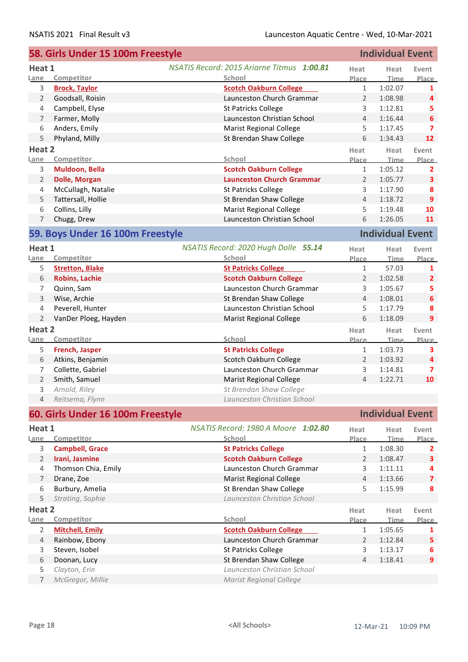|                | 58. Girls Under 15 100m Freestyle  | <b>Individual Event</b>                    |                              |                         |                         |
|----------------|------------------------------------|--------------------------------------------|------------------------------|-------------------------|-------------------------|
| Heat 1         |                                    | NSATIS Record: 2015 Ariarne Titmus 1:00.81 | Heat                         | Heat                    | Event                   |
| Lane           | Competitor                         | School                                     | Place                        | Time                    | <b>Place</b>            |
| 3              | <b>Brock, Taylor</b>               | <b>Scotch Oakburn College</b>              | $\mathbf{1}$                 | 1:02.07                 | 1                       |
| $\overline{2}$ | Goodsall, Roisin                   | Launceston Church Grammar                  | $\overline{2}$               | 1:08.98                 | 4                       |
| 4              | Campbell, Elyse                    | St Patricks College                        | 3                            | 1:12.81                 | 5                       |
| 7              | Farmer, Molly                      | Launceston Christian School                | $\overline{4}$               | 1:16.44                 | 6                       |
| 6              | Anders, Emily                      | <b>Marist Regional College</b>             | 5                            | 1:17.45                 | 7                       |
| 5              | Phyland, Milly                     | St Brendan Shaw College                    | 6                            | 1:34.43                 | 12                      |
| Heat 2         |                                    |                                            | Heat                         | Heat                    | Event                   |
| Lane           | Competitor                         | School                                     | <u>Place</u>                 | <b>Time</b>             | Place                   |
| 3              | Muldoon, Bella                     | <b>Scotch Oakburn College</b>              | $\mathbf{1}$                 | 1:05.12                 | $\mathbf{2}$            |
| $\overline{2}$ | <b>Dolle, Morgan</b>               | <b>Launceston Church Grammar</b>           | $\overline{2}$               | 1:05.77                 | $\overline{\mathbf{3}}$ |
| 4              | McCullagh, Natalie                 | <b>St Patricks College</b>                 | 3                            | 1:17.90                 | 8                       |
| 5              | Tattersall, Hollie                 | St Brendan Shaw College                    | $\overline{4}$               | 1:18.72                 | 9                       |
| 6              | Collins, Lilly                     | <b>Marist Regional College</b>             | 5                            | 1:19.48                 | 10                      |
| 7              | Chugg, Drew                        | Launceston Christian School                | 6                            | 1:26.05                 | 11                      |
|                | 59. Boys Under 16 100m Freestyle   |                                            |                              | <b>Individual Event</b> |                         |
| Heat 1         |                                    | NSATIS Record: 2020 Hugh Dolle 55.14       | Heat                         | Heat                    | Event                   |
| Lane           | Competitor                         | School                                     | Place                        | <b>Time</b>             | Place                   |
| 5              | <b>Stretton, Blake</b>             | <b>St Patricks College</b>                 | $\mathbf{1}$                 | 57.03                   | 1                       |
| 6              | <b>Robins, Lachie</b>              | <b>Scotch Oakburn College</b>              | $\overline{2}$               | 1:02.58                 | $\overline{2}$          |
| 7              | Quinn, Sam                         | Launceston Church Grammar                  | 3                            | 1:05.67                 | 5                       |
| 3              | Wise, Archie                       | St Brendan Shaw College                    | $\overline{4}$               | 1:08.01                 | 6                       |
| 4              | Peverell, Hunter                   | Launceston Christian School                | 5                            | 1:17.79                 | 8                       |
| $\overline{2}$ |                                    |                                            | 6                            | 1:18.09                 | 9                       |
|                | VanDer Ploeg, Hayden               | <b>Marist Regional College</b>             |                              |                         |                         |
| Heat 2         |                                    | School                                     | Heat                         | Heat                    | Event                   |
| Lane<br>5      | Competitor                         | <b>St Patricks College</b>                 | <b>Place</b><br>$\mathbf{1}$ | <b>Time</b><br>1:03.73  | Place                   |
|                | French, Jasper<br>Atkins, Benjamin | Scotch Oakburn College                     | $\overline{2}$               |                         | 3                       |
| 6              |                                    |                                            |                              | 1:03.92                 | $\overline{a}$          |
| 7              | Collette, Gabriel                  | Launceston Church Grammar                  | 3<br>$\overline{4}$          | 1:14.81<br>1:22.71      | 7                       |
| $\overline{2}$ | Smith, Samuel                      | <b>Marist Regional College</b>             |                              |                         | 10                      |
| 3              | Arnold, Riley                      | St Brendan Shaw College                    |                              |                         |                         |
| 4              | Reitsema, Flynn                    | Launceston Christian School                |                              |                         |                         |
|                | 60. Girls Under 16 100m Freestyle  |                                            |                              | <b>Individual Event</b> |                         |
| Heat 1         |                                    | NSATIS Record: 1980 A Moore 1:02.80        | Heat                         | Heat                    | Event                   |
| Lane           | Competitor                         | School                                     | <b>Place</b>                 | Time                    | <b>Place</b>            |
| 3              | <b>Campbell, Grace</b>             | <b>St Patricks College</b>                 | $\mathbf{1}$                 | 1:08.30                 | 2                       |
| $\overline{2}$ | Irani, Jasmine                     | <b>Scotch Oakburn College</b>              | $\overline{2}$               | 1:08.47                 | $\overline{\mathbf{3}}$ |
| 4              | Thomson Chia, Emily                | Launceston Church Grammar                  | 3                            | 1:11.11                 | 4                       |
| $\overline{7}$ | Drane, Zoe                         | <b>Marist Regional College</b>             | $\overline{4}$               | 1:13.66                 | $\overline{\mathbf{z}}$ |
| 6              | Burbury, Amelia                    | St Brendan Shaw College                    | 5                            | 1:15.99                 | 8                       |
| 5              | Strating, Sophie                   | Launceston Christian School                |                              |                         |                         |
| Heat 2         |                                    |                                            | Heat                         | Heat                    | Event                   |
| Lane           | Competitor                         | School                                     | Place                        | Time                    | <b>Place</b>            |
| 2              | <b>Mitchell, Emily</b>             | <b>Scotch Oakburn College</b>              | $\mathbf{1}$                 | 1:05.65                 | 1                       |
| 4              | Rainbow, Ebony                     | Launceston Church Grammar                  | $\overline{2}$               | 1:12.84                 | 5                       |
| 3              | Steven, Isobel                     | St Patricks College                        | 3                            | 1:13.17                 | 6                       |
| 6              | Doonan, Lucy                       | St Brendan Shaw College                    | $\overline{4}$               | 1:18.41                 | 9                       |
| 5              | Clayton, Erin                      | Launceston Christian School                |                              |                         |                         |
| 7              | McGregor, Millie                   | <b>Marist Regional College</b>             |                              |                         |                         |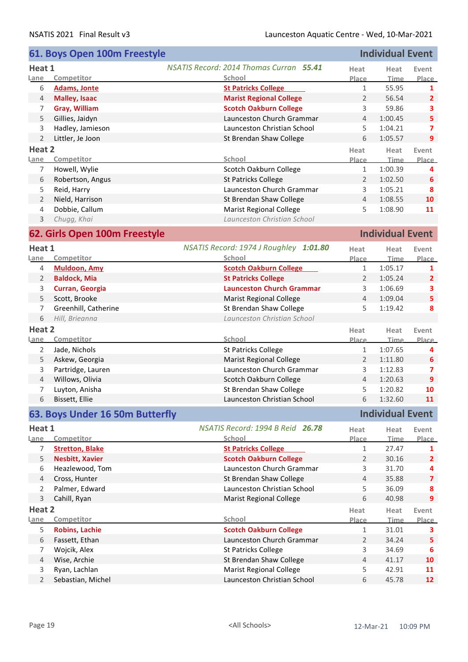|                     | 61. Boys Open 100m Freestyle    |                                                |                     | <b>Individual Event</b> |                         |
|---------------------|---------------------------------|------------------------------------------------|---------------------|-------------------------|-------------------------|
| Heat 1              |                                 | <b>NSATIS Record: 2014 Thomas Curran 55.41</b> | Heat                | Heat                    | Event                   |
| Lane                | Competitor                      | School                                         | Place               | <b>Time</b>             | Place                   |
| 6                   | <b>Adams, Jonte</b>             | <b>St Patricks College</b>                     | $\mathbf{1}$        | 55.95                   | 1                       |
| $\overline{4}$      | <b>Malley, Isaac</b>            | <b>Marist Regional College</b>                 | $\overline{2}$      | 56.54                   | $\overline{2}$          |
| 7                   | <b>Gray, William</b>            | <b>Scotch Oakburn College</b>                  | 3                   | 59.86                   | 3                       |
| 5                   | Gillies, Jaidyn                 | Launceston Church Grammar                      | $\overline{4}$      | 1:00.45                 | 5                       |
| 3                   | Hadley, Jamieson                | Launceston Christian School                    | 5                   | 1:04.21                 | 7                       |
| $\overline{2}$      | Littler, Je Joon                | St Brendan Shaw College                        | 6                   | 1:05.57                 | 9                       |
| Heat 2              |                                 |                                                |                     |                         |                         |
| <u>Lane</u>         | Competitor                      | School                                         | Heat<br>Place       | Heat<br><b>Time</b>     | Event<br>Place          |
| 7                   | Howell, Wylie                   | Scotch Oakburn College                         | $\mathbf{1}$        | 1:00.39                 | 4                       |
| 6                   | Robertson, Angus                | <b>St Patricks College</b>                     | $\overline{2}$      | 1:02.50                 | 6                       |
|                     |                                 | Launceston Church Grammar                      |                     |                         | 8                       |
| 5<br>$\overline{2}$ | Reid, Harry                     | St Brendan Shaw College                        | 3<br>$\overline{4}$ | 1:05.21<br>1:08.55      | 10                      |
|                     | Nield, Harrison                 |                                                |                     |                         |                         |
| 4                   | Dobbie, Callum                  | <b>Marist Regional College</b>                 | 5                   | 1:08.90                 | 11                      |
| 3                   | Chugg, Khai                     | Launceston Christian School                    |                     |                         |                         |
|                     | 62. Girls Open 100m Freestyle   |                                                |                     | <b>Individual Event</b> |                         |
| Heat 1              |                                 | NSATIS Record: 1974 J Roughley 1:01.80         | Heat                | Heat                    | Event                   |
| Lane                | Competitor                      | School                                         | Place               | <b>Time</b>             | Place                   |
| $\overline{4}$      | <b>Muldoon, Amy</b>             | <b>Scotch Oakburn College</b>                  | $\mathbf{1}$        | 1:05.17                 | 1                       |
| $\overline{2}$      | <b>Baldock, Mia</b>             | <b>St Patricks College</b>                     | $\overline{2}$      | 1:05.24                 | $\overline{2}$          |
| 3                   | Curran, Georgia                 | <b>Launceston Church Grammar</b>               | 3                   | 1:06.69                 | 3                       |
| 5                   | Scott, Brooke                   | <b>Marist Regional College</b>                 | $\overline{4}$      | 1:09.04                 | 5                       |
| 7                   | Greenhill, Catherine            | St Brendan Shaw College                        | 5                   | 1:19.42                 | 8                       |
| 6                   | Hill, Brieanna                  | Launceston Christian School                    |                     |                         |                         |
| Heat 2              |                                 |                                                |                     |                         |                         |
| Lane                | Competitor                      | School                                         | Heat<br>Place       | Heat<br><u>Time</u>     | Event<br>Place          |
| 2                   | Jade, Nichols                   | St Patricks College                            | $\mathbf{1}$        | 1:07.65                 |                         |
|                     |                                 | <b>Marist Regional College</b>                 | $\overline{2}$      |                         | 4                       |
| 5                   | Askew, Georgia                  |                                                |                     | 1:11.80                 | 6                       |
| 3                   | Partridge, Lauren               | Launceston Church Grammar                      | 3                   | 1:12.83                 | 7                       |
| 4                   | Willows, Olivia                 | Scotch Oakburn College                         | $\overline{4}$      | 1:20.63                 | 9                       |
| 7                   | Luyton, Anisha                  | St Brendan Shaw College                        | 5                   | 1:20.82                 | 10                      |
| 6                   | Bissett, Ellie                  | Launceston Christian School                    | 6                   | 1:32.60                 | 11                      |
|                     | 63. Boys Under 16 50m Butterfly |                                                |                     | <b>Individual Event</b> |                         |
| Heat 1              |                                 | NSATIS Record: 1994 B Reid 26.78               | Heat                | Heat                    | Event                   |
| Lane                | Competitor                      | School                                         | Place               | <b>Time</b>             | Place                   |
| 7                   | <b>Stretton, Blake</b>          | <b>St Patricks College</b>                     | 1                   | 27.47                   | 1                       |
| 5                   | <b>Nesbitt, Xavier</b>          | <b>Scotch Oakburn College</b>                  | $\overline{2}$      | 30.16                   | $\overline{2}$          |
| 6                   | Heazlewood, Tom                 | Launceston Church Grammar                      | 3                   | 31.70                   | 4                       |
| $\overline{4}$      | Cross, Hunter                   | St Brendan Shaw College                        | $\overline{4}$      | 35.88                   | $\overline{\mathbf{z}}$ |
| $\overline{2}$      | Palmer, Edward                  | Launceston Christian School                    | 5                   | 36.09                   | 8                       |
| $\mathsf{3}$        | Cahill, Ryan                    | Marist Regional College                        | 6                   | 40.98                   | 9                       |
| Heat 2              |                                 |                                                |                     |                         |                         |
| Lane                | Competitor                      | School                                         | Heat<br>Place       | Heat<br><b>Time</b>     | Event<br>Place          |
| 5                   | <b>Robins, Lachie</b>           | <b>Scotch Oakburn College</b>                  | 1                   | 31.01                   | 3                       |
| 6                   | Fassett, Ethan                  | Launceston Church Grammar                      | $\overline{2}$      | 34.24                   | 5                       |
| 7                   | Wojcik, Alex                    | St Patricks College                            | 3                   | 34.69                   | 6                       |
| 4                   | Wise, Archie                    | St Brendan Shaw College                        | 4                   | 41.17                   | 10                      |
| 3                   | Ryan, Lachlan                   | <b>Marist Regional College</b>                 | 5                   | 42.91                   | 11                      |
| $\overline{2}$      | Sebastian, Michel               | Launceston Christian School                    | 6                   | 45.78                   | 12                      |
|                     |                                 |                                                |                     |                         |                         |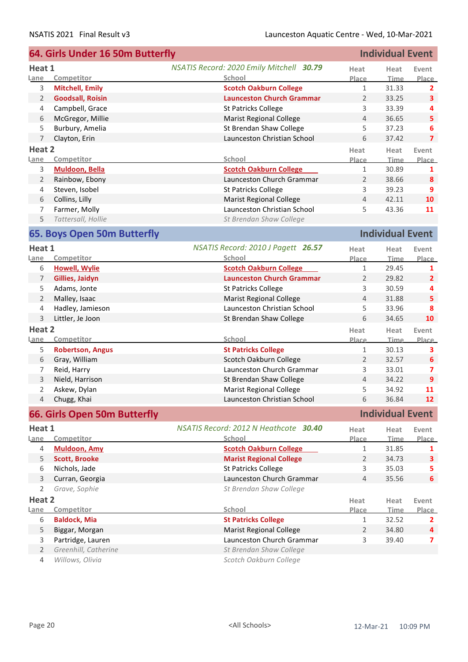|                | 64. Girls Under 16 50m Butterfly |                                          | <b>Individual Event</b> |                         |                         |
|----------------|----------------------------------|------------------------------------------|-------------------------|-------------------------|-------------------------|
| Heat 1         |                                  | NSATIS Record: 2020 Emily Mitchell 30.79 | Heat                    | Heat                    | Event                   |
| Lane           | Competitor                       | School                                   | Place                   | <b>Time</b>             | Place                   |
| 3              | <b>Mitchell, Emily</b>           | <b>Scotch Oakburn College</b>            | $\mathbf{1}$            | 31.33                   | 2                       |
| 2              | <b>Goodsall, Roisin</b>          | <b>Launceston Church Grammar</b>         | 2                       | 33.25                   | 3                       |
| 4              | Campbell, Grace                  | St Patricks College                      | 3                       | 33.39                   | 4                       |
| 6              | McGregor, Millie                 | <b>Marist Regional College</b>           | 4                       | 36.65                   | 5                       |
| 5              | Burbury, Amelia                  | St Brendan Shaw College                  | 5                       | 37.23                   | 6                       |
|                | $\overline{7}$<br>Clayton, Erin  | Launceston Christian School              | 6                       | 37.42                   | $\overline{7}$          |
| Heat 2         |                                  |                                          | Heat                    | Heat                    | Event                   |
| <u>Lane</u>    | Competitor                       | School                                   | Place                   | <b>Time</b>             | Place                   |
| 3              | Muldoon, Bella                   | <b>Scotch Oakburn College</b>            | $\mathbf{1}$            | 30.89                   | 1                       |
| $\overline{2}$ | Rainbow, Ebony                   | Launceston Church Grammar                | $\overline{2}$          | 38.66                   | 8                       |
| 4              | Steven, Isobel                   | <b>St Patricks College</b>               | 3                       | 39.23                   | 9                       |
| 6              | Collins, Lilly                   | <b>Marist Regional College</b>           | $\overline{4}$          | 42.11                   | 10                      |
| 7              | Farmer, Molly                    | Launceston Christian School              | 5                       | 43.36                   | 11                      |
| 5              | Tattersall, Hollie               | St Brendan Shaw College                  |                         |                         |                         |
|                | 65. Boys Open 50m Butterfly      |                                          |                         | <b>Individual Event</b> |                         |
| Heat 1         |                                  | NSATIS Record: 2010 J Pagett 26.57       | Heat                    | Heat                    | Event                   |
| Lane           | Competitor                       | School                                   | Place                   | <b>Time</b>             | Place                   |
| 6              | <b>Howell, Wylie</b>             | <b>Scotch Oakburn College</b>            | $\mathbf{1}$            | 29.45                   | 1                       |
| $\overline{7}$ | Gillies, Jaidyn                  | <b>Launceston Church Grammar</b>         | 2                       | 29.82                   | $\overline{2}$          |
| 5              | Adams, Jonte                     | St Patricks College                      | 3                       | 30.59                   | 4                       |
| $\overline{2}$ | Malley, Isaac                    | <b>Marist Regional College</b>           | $\overline{4}$          | 31.88                   | 5                       |
| 4              | Hadley, Jamieson                 | Launceston Christian School              | 5                       | 33.96                   | 8                       |
| $\mathsf{3}$   | Littler, Je Joon                 | St Brendan Shaw College                  | 6                       | 34.65                   | 10                      |
| Heat 2         |                                  |                                          | Heat                    | Heat                    | Event                   |
| Lane           | Competitor                       | School                                   | Place                   | Time                    | Place                   |
| 5              | <b>Robertson, Angus</b>          | <b>St Patricks College</b>               | $\mathbf{1}$            | 30.13                   | 3                       |
| 6              | Gray, William                    | Scotch Oakburn College                   | 2                       | 32.57                   | 6                       |
| 7              | Reid, Harry                      | Launceston Church Grammar                | 3                       | 33.01                   | $\overline{ }$          |
| 3              | Nield, Harrison                  | St Brendan Shaw College                  | $\overline{4}$          | 34.22                   | $\overline{9}$          |
| $\overline{2}$ | Askew, Dylan                     | <b>Marist Regional College</b>           | 5                       | 34.92                   | 11                      |
|                | 4 Chugg, Khai                    | Launceston Christian School              | 6                       | 36.84                   | 12 <sup>2</sup>         |
|                | 66. Girls Open 50m Butterfly     |                                          |                         | <b>Individual Event</b> |                         |
| Heat 1         |                                  | NSATIS Record: 2012 N Heathcote 30.40    | Heat                    | Heat                    | Event                   |
| Lane           | Competitor                       | School                                   | Place                   | <b>Time</b>             | Place                   |
| 4              | <b>Muldoon, Amy</b>              | <b>Scotch Oakburn College</b>            | $\mathbf{1}$            | 31.85                   | 1                       |
| 5              | <b>Scott, Brooke</b>             | <b>Marist Regional College</b>           | $\overline{2}$          | 34.73                   | 3                       |
| 6              | Nichols, Jade                    | <b>St Patricks College</b>               | 3                       | 35.03                   | 5.                      |
|                | 3<br>Curran, Georgia             | Launceston Church Grammar                | $\overline{4}$          | 35.56                   | 6                       |
| 2              | Grave, Sophie                    | St Brendan Shaw College                  |                         |                         |                         |
| Heat 2         |                                  |                                          | Heat                    | Heat                    | Event                   |
| Lane           | Competitor                       | School                                   | Place                   | Time                    | Place                   |
| 6              | <b>Baldock, Mia</b>              | <b>St Patricks College</b>               | 1                       | 32.52                   | 2                       |
| 5              | Biggar, Morgan                   | <b>Marist Regional College</b>           | $\overline{2}$          | 34.80                   | 4                       |
| 3              | Partridge, Lauren                | Launceston Church Grammar                | 3                       | 39.40                   | $\overline{\mathbf{z}}$ |
| $\overline{2}$ | Greenhill, Catherine             | St Brendan Shaw College                  |                         |                         |                         |
| 4              | Willows, Olivia                  | Scotch Oakburn College                   |                         |                         |                         |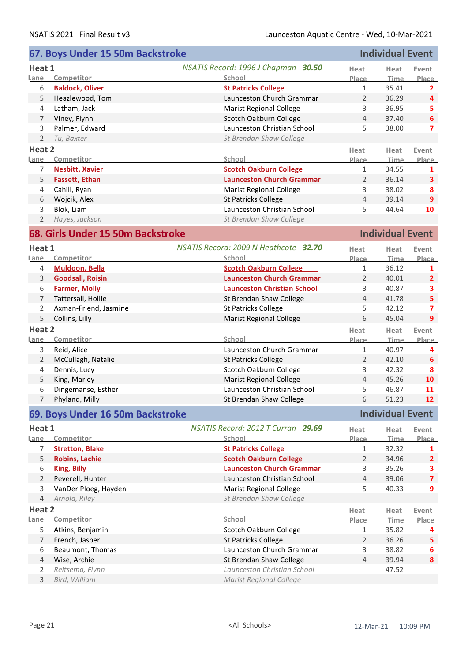|                | 67. Boys Under 15 50m Backstroke  | <b>Individual Event</b>               |                |                         |                         |
|----------------|-----------------------------------|---------------------------------------|----------------|-------------------------|-------------------------|
| Heat 1         |                                   | NSATIS Record: 1996 J Chapman 30.50   | Heat           | Heat                    | Event                   |
| Lane           | Competitor                        | School                                | Place          | <b>Time</b>             | Place                   |
| 6              | <b>Baldock, Oliver</b>            | <b>St Patricks College</b>            | $\mathbf{1}$   | 35.41                   | $\mathbf{2}$            |
| 5              | Heazlewood, Tom                   | Launceston Church Grammar             | 2              | 36.29                   | 4                       |
| 4              | Latham, Jack                      | <b>Marist Regional College</b>        | 3              | 36.95                   | 5                       |
| $\overline{7}$ | Viney, Flynn                      | Scotch Oakburn College                | $\overline{4}$ | 37.40                   | 6                       |
| 3              | Palmer, Edward                    | Launceston Christian School           | 5              | 38.00                   | $\overline{ }$          |
| $\overline{2}$ | Tu, Baxter                        | St Brendan Shaw College               |                |                         |                         |
| Heat 2         |                                   |                                       | Heat           | Heat                    | Event                   |
| Lane           | Competitor                        | School                                | Place          | <b>Time</b>             | Place                   |
| 7              | <b>Nesbitt, Xavier</b>            | <b>Scotch Oakburn College</b>         | $\mathbf{1}$   | 34.55                   | 1                       |
| 5              | <b>Fassett, Ethan</b>             | <b>Launceston Church Grammar</b>      | 2              | 36.14                   | $\mathbf{3}$            |
| 4              | Cahill, Ryan                      | <b>Marist Regional College</b>        | 3              | 38.02                   | 8                       |
| 6              | Wojcik, Alex                      | <b>St Patricks College</b>            | $\overline{4}$ | 39.14                   | $\overline{9}$          |
| 3              | Blok, Liam                        | Launceston Christian School           | 5              | 44.64                   | 10                      |
| $\overline{2}$ | Hayes, Jackson                    | St Brendan Shaw College               |                |                         |                         |
|                | 68. Girls Under 15 50m Backstroke |                                       |                | <b>Individual Event</b> |                         |
| Heat 1         |                                   | NSATIS Record: 2009 N Heathcote 32.70 | Heat           | Heat                    | Event                   |
| Lane           | Competitor                        | School                                | Place          | Time                    | Place                   |
| 4              | <b>Muldoon, Bella</b>             | <b>Scotch Oakburn College</b>         | $\mathbf{1}$   | 36.12                   | 1                       |
| 3              | <b>Goodsall, Roisin</b>           | <b>Launceston Church Grammar</b>      | 2              | 40.01                   | $\overline{2}$          |
| 6              | <b>Farmer, Molly</b>              | <b>Launceston Christian School</b>    | 3              | 40.87                   | 3                       |
| $\overline{7}$ | Tattersall, Hollie                | St Brendan Shaw College               | $\overline{4}$ | 41.78                   | 5                       |
| $\overline{2}$ | Axman-Friend, Jasmine             | <b>St Patricks College</b>            | 5              | 42.12                   | $\overline{\mathbf{z}}$ |
| 5              | Collins, Lilly                    | <b>Marist Regional College</b>        | 6              | 45.04                   | 9                       |
|                |                                   |                                       |                |                         |                         |
| Heat 2<br>Lane | Competitor                        | School                                | Heat<br>Place  | Heat<br><b>Time</b>     | Event<br><b>Place</b>   |
| 3              | Reid, Alice                       | Launceston Church Grammar             | $\mathbf{1}$   | 40.97                   | 4                       |
| $\overline{2}$ | McCullagh, Natalie                | St Patricks College                   | $\overline{2}$ | 42.10                   | 6                       |
| 4              | Dennis, Lucy                      | Scotch Oakburn College                | 3              | 42.32                   | 8                       |
| 5              | King, Marley                      | <b>Marist Regional College</b>        | $\overline{4}$ | 45.26                   | 10                      |
| 6              | Dingemanse, Esther                | Launceston Christian School           | 5              | 46.87                   | 11                      |
|                | Phyland, Milly                    | St Brendan Shaw College               | 6              | 51.23                   | 12                      |
|                |                                   |                                       |                |                         |                         |
|                | 69. Boys Under 16 50m Backstroke  |                                       |                | <b>Individual Event</b> |                         |
| Heat 1         |                                   | NSATIS Record: 2012 T Curran 29.69    | Heat           | Heat                    | Event                   |
| Lane           | Competitor                        | School                                | <b>Place</b>   | <b>Time</b>             | Place                   |
| 7              | <b>Stretton, Blake</b>            | <b>St Patricks College</b>            | $\mathbf{1}$   | 32.32                   | 1                       |
| 5              | <b>Robins, Lachie</b>             | <b>Scotch Oakburn College</b>         | $\overline{2}$ | 34.96                   | $\overline{2}$          |
| 6              | <b>King, Billy</b>                | <b>Launceston Church Grammar</b>      | 3              | 35.26                   | 3                       |
| $\overline{2}$ | Peverell, Hunter                  | Launceston Christian School           | $\overline{4}$ | 39.06                   | $\overline{\mathbf{z}}$ |
| 3              | VanDer Ploeg, Hayden              | <b>Marist Regional College</b>        | 5              | 40.33                   | 9                       |
| $\overline{4}$ | Arnold, Riley                     | St Brendan Shaw College               |                |                         |                         |
| Heat 2         |                                   |                                       | Heat           | Heat                    | Event                   |
| Lane           | Competitor                        | School                                | Place          | <b>Time</b>             | <b>Place</b>            |
| 5              | Atkins, Benjamin                  | Scotch Oakburn College                | 1              | 35.82                   | 4                       |
| $\overline{7}$ | French, Jasper                    | St Patricks College                   | $\overline{2}$ | 36.26                   | 5                       |
| 6              | Beaumont, Thomas                  | Launceston Church Grammar             | 3              | 38.82                   | 6                       |
| $\overline{4}$ | Wise, Archie                      | St Brendan Shaw College               | $\overline{4}$ | 39.94                   | 8                       |
| 2              | Reitsema, Flynn                   | Launceston Christian School           |                | 47.52                   |                         |
| 3              | Bird, William                     | <b>Marist Regional College</b>        |                |                         |                         |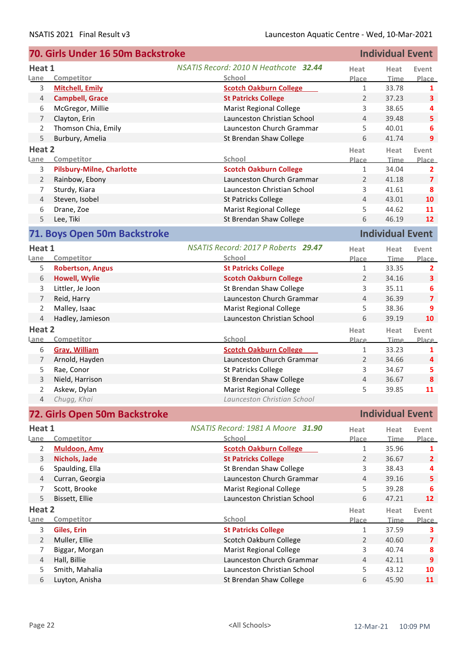|                | 70. Girls Under 16 50m Backstroke | <b>Individual Event</b>                      |                |                         |                         |
|----------------|-----------------------------------|----------------------------------------------|----------------|-------------------------|-------------------------|
| Heat 1         |                                   | <b>NSATIS Record: 2010 N Heathcote 32.44</b> | Heat           | Heat                    | Event                   |
| Lane           | Competitor                        | School                                       | Place          | Time                    | Place                   |
| 3              | <b>Mitchell, Emily</b>            | <b>Scotch Oakburn College</b>                | $\mathbf{1}$   | 33.78                   | 1                       |
| $\overline{4}$ | <b>Campbell, Grace</b>            | <b>St Patricks College</b>                   | 2              | 37.23                   | 3                       |
| 6              | McGregor, Millie                  | <b>Marist Regional College</b>               | 3              | 38.65                   | 4                       |
| $\overline{7}$ | Clayton, Erin                     | Launceston Christian School                  | $\overline{4}$ | 39.48                   | 5                       |
| $\overline{2}$ | Thomson Chia, Emily               | Launceston Church Grammar                    | 5              | 40.01                   | 6                       |
| 5              | Burbury, Amelia                   | St Brendan Shaw College                      | 6              | 41.74                   | 9                       |
| Heat 2         |                                   |                                              |                |                         |                         |
| Lane           | Competitor                        | School                                       | Heat<br>Place  | Heat<br><b>Time</b>     | Event<br><b>Place</b>   |
| 3              | <b>Pilsbury-Milne, Charlotte</b>  | <b>Scotch Oakburn College</b>                | 1              | 34.04                   | $\mathbf{2}$            |
| $\overline{2}$ | Rainbow, Ebony                    | Launceston Church Grammar                    | 2              | 41.18                   | $\overline{\mathbf{z}}$ |
| 7              | Sturdy, Kiara                     | Launceston Christian School                  | 3              | 41.61                   | 8                       |
| $\overline{4}$ | Steven, Isobel                    | St Patricks College                          | $\overline{4}$ | 43.01                   | 10                      |
| 6              | Drane, Zoe                        | <b>Marist Regional College</b>               | 5              | 44.62                   | 11                      |
|                | Lee, Tiki                         |                                              | 6              |                         | 12                      |
| 5              |                                   | St Brendan Shaw College                      |                | 46.19                   |                         |
|                | 71. Boys Open 50m Backstroke      |                                              |                | <b>Individual Event</b> |                         |
| Heat 1         |                                   | NSATIS Record: 2017 P Roberts 29.47          | Heat           | Heat                    | Event                   |
| Lane           | Competitor                        | School                                       | Place          | Time                    | <b>Place</b>            |
| 5              | <b>Robertson, Angus</b>           | <b>St Patricks College</b>                   | $\mathbf{1}$   | 33.35                   | 2                       |
| 6              | <b>Howell, Wylie</b>              | <b>Scotch Oakburn College</b>                | 2              | 34.16                   | 3                       |
| 3              | Littler, Je Joon                  | St Brendan Shaw College                      | 3              | 35.11                   | 6                       |
| $\overline{7}$ | Reid, Harry                       | Launceston Church Grammar                    | 4              | 36.39                   | $\overline{\mathbf{z}}$ |
| $\overline{2}$ | Malley, Isaac                     | <b>Marist Regional College</b>               | 5              | 38.36                   | 9                       |
| $\overline{4}$ | Hadley, Jamieson                  | Launceston Christian School                  | 6              | 39.19                   | 10                      |
| Heat 2         |                                   |                                              | Heat           | Heat                    | Event                   |
| Lane           | Competitor                        | School                                       | <u>Place</u>   | Time                    | Place                   |
| 6              | <b>Gray, William</b>              | <b>Scotch Oakburn College</b>                | 1              | 33.23                   | 1                       |
| 7              | Arnold, Hayden                    | Launceston Church Grammar                    | 2              | 34.66                   | 4                       |
| 5              | Rae, Conor                        | St Patricks College                          | 3              | 34.67                   | 5                       |
| 3              | Nield, Harrison                   | St Brendan Shaw College                      | $\overline{4}$ | 36.67                   | 8                       |
| 2              | Askew, Dylan                      | <b>Marist Regional College</b>               | 5              | 39.85                   | 11                      |
|                | 4 Chugg, Khai                     | Launceston Christian School                  |                |                         |                         |
|                |                                   |                                              |                |                         |                         |
|                | 72. Girls Open 50m Backstroke     |                                              |                | <b>Individual Event</b> |                         |
| Heat 1         |                                   | NSATIS Record: 1981 A Moore 31.90            | Heat           | Heat                    | Event                   |
| Lane           | Competitor                        | School                                       | Place          | <b>Time</b>             | <b>Place</b>            |
| $\overline{2}$ | <b>Muldoon, Amy</b>               | <b>Scotch Oakburn College</b>                | 1              | 35.96                   | 1                       |
| 3              | Nichols, Jade                     | <b>St Patricks College</b>                   | $\overline{2}$ | 36.67                   | $\overline{2}$          |
| 6              | Spaulding, Ella                   | St Brendan Shaw College                      | 3              | 38.43                   | 4                       |
| $\overline{4}$ | Curran, Georgia                   | Launceston Church Grammar                    | $\overline{4}$ | 39.16                   | 5                       |
| 7              | Scott, Brooke                     | <b>Marist Regional College</b>               | 5              | 39.28                   | 6                       |
| 5              | Bissett, Ellie                    | Launceston Christian School                  | 6              | 47.21                   | 12                      |
| Heat 2         |                                   |                                              | Heat           | Heat                    | Event                   |
| Lane           | Competitor                        | School                                       | Place          | Time                    | Place                   |
| 3              | Giles, Erin                       | <b>St Patricks College</b>                   | $\mathbf{1}$   | 37.59                   | 3                       |
| $\overline{2}$ | Muller, Ellie                     | Scotch Oakburn College                       | 2              | 40.60                   | $\overline{7}$          |
| 7              | Biggar, Morgan                    | <b>Marist Regional College</b>               | 3              | 40.74                   | 8                       |
| 4              | Hall, Billie                      | Launceston Church Grammar                    | $\overline{4}$ | 42.11                   | 9                       |
| 5              | Smith, Mahalia                    | Launceston Christian School                  | 5              | 43.12                   | 10                      |
| 6              | Luyton, Anisha                    | St Brendan Shaw College                      | 6              | 45.90                   | 11                      |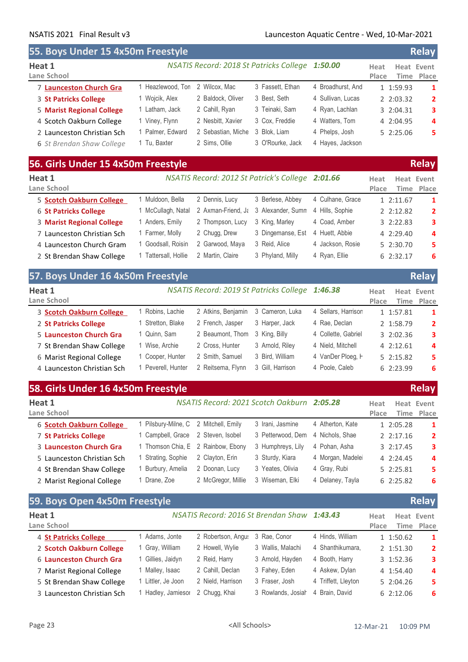## NSATIS 2021 Final Result v3 Launceston Aquatic Centre - Wed, 10-Mar-2021

| <b>33. BUYS UNIUEL 13 4X30M FLEESLYIE</b> |                   |                    |                                                 |                   |               |           | ndiay                    |
|-------------------------------------------|-------------------|--------------------|-------------------------------------------------|-------------------|---------------|-----------|--------------------------|
| Heat 1<br>Lane School                     |                   |                    | NSATIS Record: 2018 St Patricks College 1:50.00 |                   | Heat<br>Place |           | Heat Event<br>Time Place |
| 7 Launceston Church Gra                   | 1 Heazlewood, Ton | 2 Wilcox, Mac      | 3 Fassett, Ethan                                | 4 Broadhurst, And |               | 1 1:59.93 | 1                        |
| 3 St Patricks College                     | 1 Wojcik, Alex    | 2 Baldock, Oliver  | 3 Best, Seth                                    | 4 Sullivan, Lucas |               | 2 2:03.32 | 2                        |
| <b>5 Marist Regional College</b>          | 1 Latham, Jack    | 2 Cahill, Ryan     | 3 Teinaki, Sam                                  | 4 Ryan, Lachlan   |               | 3 2:04.31 | 3                        |
| 4 Scotch Oakburn College                  | 1 Viney, Flynn    | 2 Nesbitt, Xavier  | 3 Cox, Freddie                                  | 4 Watters, Tom    |               | 4 2:04.95 | 4                        |
| 2 Launceston Christian Sch                | 1 Palmer, Edward  | 2 Sebastian, Miche | 3 Blok, Liam                                    | 4 Phelps, Josh    |               | 52:25.06  | 5                        |
| 6 St Brendan Shaw College                 | 1 Tu, Baxter      | 2 Sims, Ollie      | 3 O'Rourke, Jack                                | 4 Hayes, Jackson  |               |           |                          |
| 56. Girls Under 15 4x50m Freestyle        |                   |                    |                                                 |                   |               |           | <b>Relay</b>             |

**55. Boys Under 15 4x50m Freestyle Relay**

| Heat 1<br>Lane School            |                      | NSATIS Record: 2012 St Patrick's College 2:01.66 |                                                      |                  | Heat<br>Place | Heat Event<br>Time Place |
|----------------------------------|----------------------|--------------------------------------------------|------------------------------------------------------|------------------|---------------|--------------------------|
| 5 Scotch Oakburn College         | 1 Muldoon, Bella     | 2 Dennis, Lucy                                   | 3 Berlese, Abbev                                     | 4 Culhane, Grace | 12:11.67      | 1                        |
| <b>6 St Patricks College</b>     | 1 McCullagh, Natal   |                                                  | 2 Axman-Friend, Ja 3 Alexander, Sumn 4 Hills, Sophie |                  | 2 2:12.82     | $\overline{2}$           |
| <b>3 Marist Regional College</b> | 1 Anders, Emily      | 2 Thompson, Lucy                                 | 3 King, Marley                                       | 4 Coad, Amber    | 32:22.83      | 3                        |
| 7 Launceston Christian Sch       | 1 Farmer, Molly      | 2 Chugg, Drew                                    | 3 Dingemanse, Est                                    | 4 Huett, Abbie   | 4 2:29.40     | 4                        |
| 4 Launceston Church Gram         | 1 Goodsall, Roisin   | 2 Garwood, Maya                                  | 3 Reid, Alice                                        | 4 Jackson, Rosie | 5 2:30.70     | 5                        |
| 2 St Brendan Shaw College        | 1 Tattersall, Hollie | 2 Martin, Claire                                 | 3 Phyland, Milly                                     | 4 Ryan, Ellie    | 6 2:32.17     | 6                        |

| 57. Boys Under 16 4x50m Freestyle |                    |                                                 |                  |                     |               | <b>Relay</b>             |
|-----------------------------------|--------------------|-------------------------------------------------|------------------|---------------------|---------------|--------------------------|
| Heat 1<br>Lane School             |                    | NSATIS Record: 2019 St Patricks College 1:46.38 |                  |                     | Heat<br>Place | Heat Event<br>Time Place |
| 3 Scotch Oakburn College          | Robins, Lachie     | 2 Atkins, Benjamin                              | 3 Cameron, Luka  | 4 Sellars, Harrison | 1 1:57.81     | -1                       |
| 2 St Patricks College             | Stretton, Blake    | 2 French, Jasper                                | 3 Harper, Jack   | 4 Rae. Declan       | 2 1:58.79     | $\overline{2}$           |
| 5 Launceston Church Gra           | 1 Quinn, Sam       | 2 Beaumont, Thom                                | 3 King, Billy    | 4 Collette, Gabriel | 3 2:02.36     | 3                        |
| 7 St Brendan Shaw College         | 1 Wise, Archie     | 2 Cross, Hunter                                 | 3 Arnold, Riley  | 4 Nield, Mitchell   | 42:12.61      | 4                        |
| 6 Marist Regional College         | 1 Cooper, Hunter   | 2 Smith, Samuel                                 | 3 Bird. William  | 4 VanDer Ploeg, H   | 52:15.82      | 5.                       |
| 4 Launceston Christian Sch        | 1 Peverell, Hunter | 2 Reitsema, Flynn                               | 3 Gill. Harrison | 4 Poole, Caleb      | 6 2:23.99     | 6                        |

| 58. Girls Under 16 4x50m Freestyle |                                     |                                    |                                            |                  |               |           | <b>Relay</b>             |
|------------------------------------|-------------------------------------|------------------------------------|--------------------------------------------|------------------|---------------|-----------|--------------------------|
| Heat 1<br>Lane School              |                                     |                                    | NSATIS Record: 2021 Scotch Oakburn 2:05.28 |                  | Heat<br>Place |           | Heat Event<br>Time Place |
| 6 Scotch Oakburn College           | Pilsbury-Milne, C 2 Mitchell, Emily |                                    | 3 Irani, Jasmine                           | 4 Atherton, Kate |               | 1 2:05.28 | -1                       |
| 7 St Patricks College              | l Campbell, Grace                   | 2 Steven, Isobel                   | 3 Petterwood, Dem                          | 4 Nichols, Shae  |               | 22:17.16  | $\overline{2}$           |
| 3 Launceston Church Gra            |                                     | 1 Thomson Chia, E 2 Rainbow, Ebony | 3 Humphreys, Lily                          | 4 Pohan, Asha    |               | 32:17.45  | 3                        |
| 5 Launceston Christian Sch         | Strating, Sophie                    | 2 Clayton, Erin                    | 3 Sturdy, Kiara                            | 4 Morgan, Madele |               | 4 2:24.45 | $\overline{a}$           |
| 4 St Brendan Shaw College          | Burbury, Amelia                     | 2 Doonan, Lucy                     | 3 Yeates, Olivia                           | 4 Gray, Rubi     |               | 5 2:25.81 | 5.                       |
| 2 Marist Regional College          | Drane, Zoe                          | 2 McGregor, Millie                 | 3 Wiseman, Elki                            | 4 Delaney, Tayla |               | 62:25.82  | -6                       |

| DY. DOVS UPEN 4XJUM FIEESLYIE |                    |                    |                                     |                     |               |           | <b>Reldy</b>             |
|-------------------------------|--------------------|--------------------|-------------------------------------|---------------------|---------------|-----------|--------------------------|
| Heat 1<br>Lane School         |                    |                    | NSATIS Record: 2016 St Brendan Shaw | 1:43.43             | Heat<br>Place |           | Heat Event<br>Time Place |
| 4 St Patricks College         | Adams, Jonte       | 2 Robertson, Angus | 3 Rae. Conor                        | 4 Hinds, William    |               | 1 1:50.62 | -1                       |
| 2 Scotch Oakburn College      | l Gray, William    | 2 Howell, Wylie    | 3 Wallis, Malachi                   | 4 Shanthikumara.    |               | 2 1:51.30 | $\overline{2}$           |
| 6 Launceston Church Gra       | Gillies, Jaidyn    | 2 Reid, Harry      | 3 Arnold, Hayden                    | 4 Booth, Harry      |               | 3 1:52.36 | 3                        |
| 7 Marist Regional College     | Malley, Isaac      | 2 Cahill, Declan   | 3 Fahey, Eden                       | 4 Askew, Dylan      |               | 4 1:54.40 | 4                        |
| 5 St Brendan Shaw College     | l Littler, Je Joon | 2 Nield, Harrison  | 3 Fraser, Josh                      | 4 Triffett, Lleyton |               | 52:04.26  | 5.                       |
| 3 Launceston Christian Sch    | Hadley, Jamiesor   | 2 Chugg, Khai      | 3 Rowlands, Josiah                  | 4 Brain, David      |               | 62:12.06  | 6                        |

**59. Boys Open 4x50m Freestyle Relay**